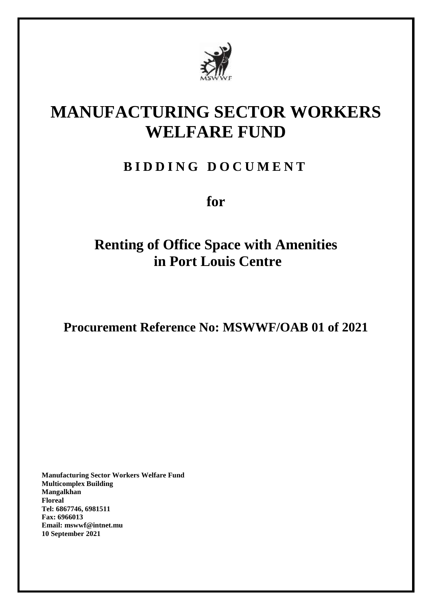

# **MANUFACTURING SECTOR WORKERS WELFARE FUND**

## **B I D D I N G D O C U M E N T**

**for**

# **Renting of Office Space with Amenities in Port Louis Centre**

**Procurement Reference No: MSWWF/OAB 01 of 2021**

**Manufacturing Sector Workers Welfare Fund Multicomplex Building Mangalkhan Floreal Tel: 6867746, 6981511 Fax: 6966013 Email: mswwf@intnet.mu 10 September 2021**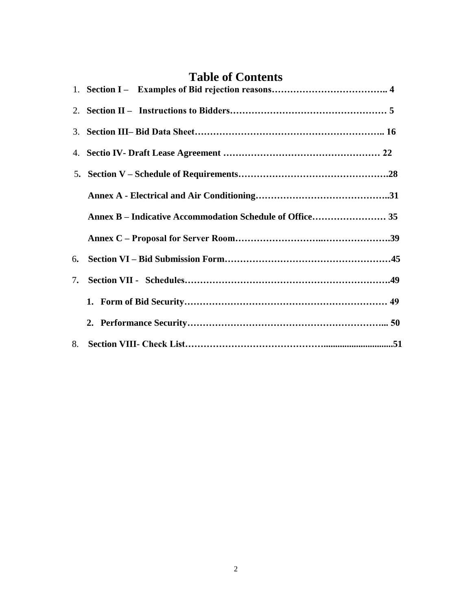## **Table of Contents**

| 6. |  |
|----|--|
| 7. |  |
|    |  |
|    |  |
|    |  |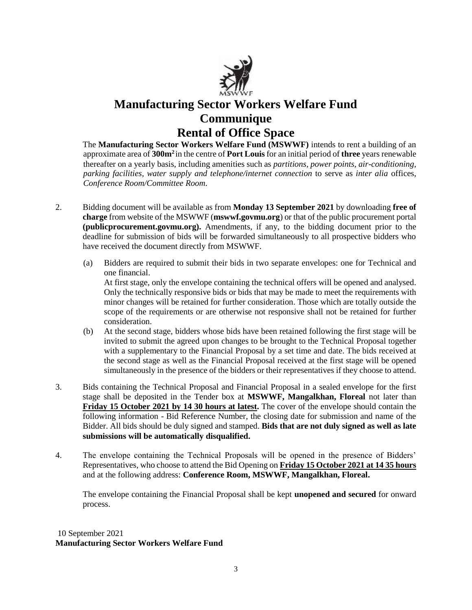

## **Manufacturing Sector Workers Welfare Fund Communique Rental of Office Space**

The **Manufacturing Sector Workers Welfare Fund (MSWWF)** intends to rent a building of an approximate area of **300m<sup>2</sup>** in the centre of **Port Louis** for an initial period of **three** years renewable thereafter on a yearly basis, including amenities such as *partitions, power points, air-conditioning, parking facilities, water supply and telephone/internet connection* to serve as *inter alia* offices, *Conference Room/Committee Room*.

- 2. Bidding document will be available as from **Monday 13 September 2021** by downloading **free of charge** from website of the MSWWF (**mswwf.govmu.org**) or that of the public procurement portal **(publicprocurement.govmu.org).** Amendments, if any, to the bidding document prior to the deadline for submission of bids will be forwarded simultaneously to all prospective bidders who have received the document directly from MSWWF.
	- (a) Bidders are required to submit their bids in two separate envelopes: one for Technical and one financial.

At first stage, only the envelope containing the technical offers will be opened and analysed. Only the technically responsive bids or bids that may be made to meet the requirements with minor changes will be retained for further consideration. Those which are totally outside the scope of the requirements or are otherwise not responsive shall not be retained for further consideration.

- (b) At the second stage, bidders whose bids have been retained following the first stage will be invited to submit the agreed upon changes to be brought to the Technical Proposal together with a supplementary to the Financial Proposal by a set time and date. The bids received at the second stage as well as the Financial Proposal received at the first stage will be opened simultaneously in the presence of the bidders or their representatives if they choose to attend.
- 3. Bids containing the Technical Proposal and Financial Proposal in a sealed envelope for the first stage shall be deposited in the Tender box at **MSWWF, Mangalkhan, Floreal** not later than **Friday 15 October 2021 by 14 30 hours at latest.** The cover of the envelope should contain the following information - Bid Reference Number, the closing date for submission and name of the Bidder. All bids should be duly signed and stamped. **Bids that are not duly signed as well as late submissions will be automatically disqualified.**
- 4. The envelope containing the Technical Proposals will be opened in the presence of Bidders' Representatives, who choose to attend the Bid Opening on **Friday 15 October 2021 at 14 35 hours** and at the following address: **Conference Room, MSWWF, Mangalkhan, Floreal.**

The envelope containing the Financial Proposal shall be kept **unopened and secured** for onward process.

### 10 September 2021 **Manufacturing Sector Workers Welfare Fund**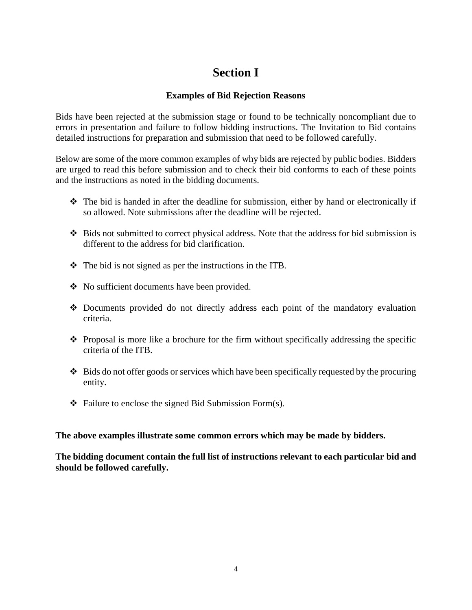## **Section I**

## **Examples of Bid Rejection Reasons**

Bids have been rejected at the submission stage or found to be technically noncompliant due to errors in presentation and failure to follow bidding instructions. The Invitation to Bid contains detailed instructions for preparation and submission that need to be followed carefully.

Below are some of the more common examples of why bids are rejected by public bodies. Bidders are urged to read this before submission and to check their bid conforms to each of these points and the instructions as noted in the bidding documents.

- $\hat{\mathbf{v}}$  The bid is handed in after the deadline for submission, either by hand or electronically if so allowed. Note submissions after the deadline will be rejected.
- $\div$  Bids not submitted to correct physical address. Note that the address for bid submission is different to the address for bid clarification.
- $\triangleleft$  The bid is not signed as per the instructions in the ITB.
- No sufficient documents have been provided.
- Documents provided do not directly address each point of the mandatory evaluation criteria.
- $\bullet$  Proposal is more like a brochure for the firm without specifically addressing the specific criteria of the ITB.
- $\triangleleft$  Bids do not offer goods or services which have been specifically requested by the procuring entity.
- $\triangleleft$  Failure to enclose the signed Bid Submission Form(s).

<span id="page-3-0"></span>**The above examples illustrate some common errors which may be made by bidders.** 

<span id="page-3-1"></span>**The bidding document contain the full list of instructions relevant to each particular bid and should be followed carefully.**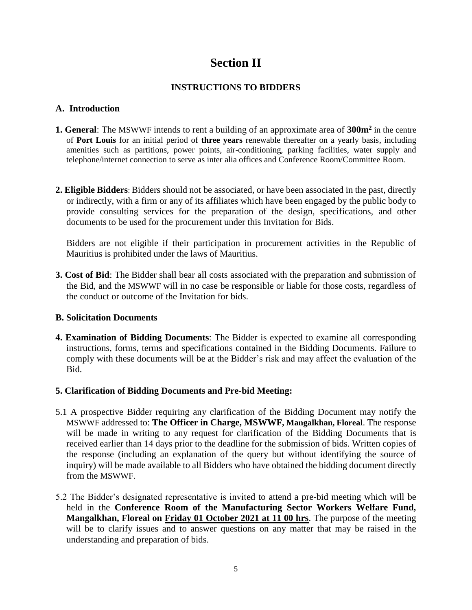## **Section II**

## **INSTRUCTIONS TO BIDDERS**

## **A. Introduction**

- **1. General**: The MSWWF intends to rent a building of an approximate area of **300m<sup>2</sup>** in the centre of **Port Louis** for an initial period of **three years** renewable thereafter on a yearly basis, including amenities such as partitions, power points, air-conditioning, parking facilities, water supply and telephone/internet connection to serve as inter alia offices and Conference Room/Committee Room.
- **2. Eligible Bidders**: Bidders should not be associated, or have been associated in the past, directly or indirectly, with a firm or any of its affiliates which have been engaged by the public body to provide consulting services for the preparation of the design, specifications, and other documents to be used for the procurement under this Invitation for Bids.

Bidders are not eligible if their participation in procurement activities in the Republic of Mauritius is prohibited under the laws of Mauritius.

**3. Cost of Bid**: The Bidder shall bear all costs associated with the preparation and submission of the Bid, and the MSWWF will in no case be responsible or liable for those costs, regardless of the conduct or outcome of the Invitation for bids.

### **B. Solicitation Documents**

**4. Examination of Bidding Documents**: The Bidder is expected to examine all corresponding instructions, forms, terms and specifications contained in the Bidding Documents. Failure to comply with these documents will be at the Bidder's risk and may affect the evaluation of the Bid.

### **5. Clarification of Bidding Documents and Pre-bid Meeting:**

- 5.1 A prospective Bidder requiring any clarification of the Bidding Document may notify the MSWWF addressed to: **The Officer in Charge, MSWWF, Mangalkhan, Floreal**. The response will be made in writing to any request for clarification of the Bidding Documents that is received earlier than 14 days prior to the deadline for the submission of bids. Written copies of the response (including an explanation of the query but without identifying the source of inquiry) will be made available to all Bidders who have obtained the bidding document directly from the MSWWF.
- 5.2 The Bidder's designated representative is invited to attend a pre-bid meeting which will be held in the **Conference Room of the Manufacturing Sector Workers Welfare Fund, Mangalkhan, Floreal on Friday 01 October 2021 at 11 00 hrs**. The purpose of the meeting will be to clarify issues and to answer questions on any matter that may be raised in the understanding and preparation of bids.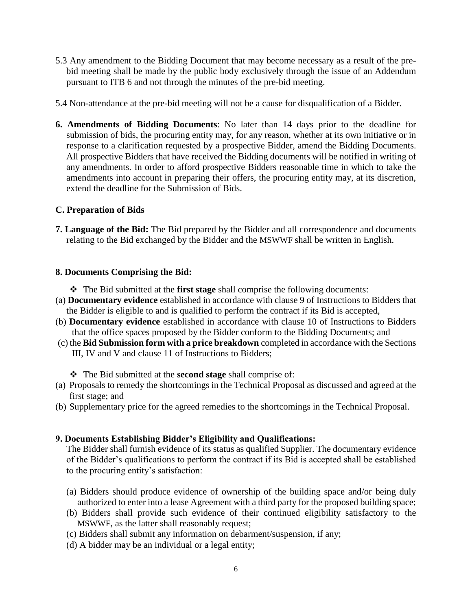- 5.3 Any amendment to the Bidding Document that may become necessary as a result of the prebid meeting shall be made by the public body exclusively through the issue of an Addendum pursuant to ITB 6 and not through the minutes of the pre-bid meeting.
- 5.4 Non-attendance at the pre-bid meeting will not be a cause for disqualification of a Bidder.
- **6. Amendments of Bidding Documents**: No later than 14 days prior to the deadline for submission of bids, the procuring entity may, for any reason, whether at its own initiative or in response to a clarification requested by a prospective Bidder, amend the Bidding Documents. All prospective Bidders that have received the Bidding documents will be notified in writing of any amendments. In order to afford prospective Bidders reasonable time in which to take the amendments into account in preparing their offers, the procuring entity may, at its discretion, extend the deadline for the Submission of Bids.

## **C. Preparation of Bids**

**7. Language of the Bid:** The Bid prepared by the Bidder and all correspondence and documents relating to the Bid exchanged by the Bidder and the MSWWF shall be written in English.

### **8. Documents Comprising the Bid:**

- The Bid submitted at the **first stage** shall comprise the following documents:
- (a) **Documentary evidence** established in accordance with clause 9 of Instructions to Bidders that the Bidder is eligible to and is qualified to perform the contract if its Bid is accepted,
- (b) **Documentary evidence** established in accordance with clause 10 of Instructions to Bidders that the office spaces proposed by the Bidder conform to the Bidding Documents; and
- (c) the **Bid Submission form with a price breakdown** completed in accordance with the Sections III, IV and V and clause 11 of Instructions to Bidders;
	- The Bid submitted at the **second stage** shall comprise of:
- (a) Proposals to remedy the shortcomings in the Technical Proposal as discussed and agreed at the first stage; and
- (b) Supplementary price for the agreed remedies to the shortcomings in the Technical Proposal.

## **9. Documents Establishing Bidder's Eligibility and Qualifications:**

The Bidder shall furnish evidence of its status as qualified Supplier. The documentary evidence of the Bidder's qualifications to perform the contract if its Bid is accepted shall be established to the procuring entity's satisfaction:

- (a) Bidders should produce evidence of ownership of the building space and/or being duly authorized to enter into a lease Agreement with a third party for the proposed building space;
- (b) Bidders shall provide such evidence of their continued eligibility satisfactory to the MSWWF, as the latter shall reasonably request;
- (c) Bidders shall submit any information on debarment/suspension, if any;
- (d) A bidder may be an individual or a legal entity;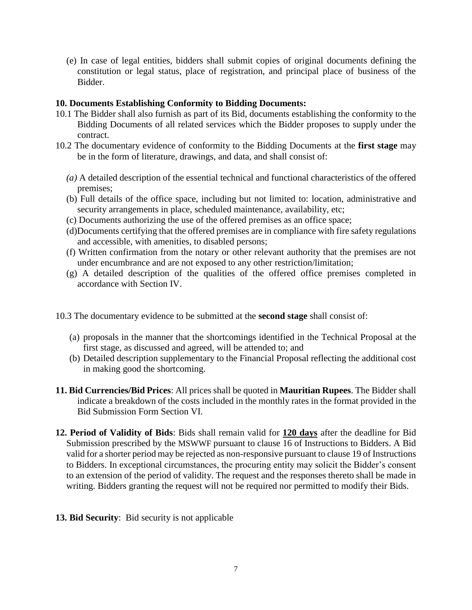(e) In case of legal entities, bidders shall submit copies of original documents defining the constitution or legal status, place of registration, and principal place of business of the Bidder.

## **10. Documents Establishing Conformity to Bidding Documents:**

- 10.1 The Bidder shall also furnish as part of its Bid, documents establishing the conformity to the Bidding Documents of all related services which the Bidder proposes to supply under the contract.
- 10.2 The documentary evidence of conformity to the Bidding Documents at the **first stage** may be in the form of literature, drawings, and data, and shall consist of:
	- *(a)* A detailed description of the essential technical and functional characteristics of the offered premises;
	- (b) Full details of the office space, including but not limited to: location, administrative and security arrangements in place, scheduled maintenance, availability, etc;
	- (c) Documents authorizing the use of the offered premises as an office space;
	- (d)Documents certifying that the offered premises are in compliance with fire safety regulations and accessible, with amenities, to disabled persons;
	- (f) Written confirmation from the notary or other relevant authority that the premises are not under encumbrance and are not exposed to any other restriction/limitation;
	- (g) A detailed description of the qualities of the offered office premises completed in accordance with Section IV.
- 10.3 The documentary evidence to be submitted at the **second stage** shall consist of:
	- (a) proposals in the manner that the shortcomings identified in the Technical Proposal at the first stage, as discussed and agreed, will be attended to; and
	- (b) Detailed description supplementary to the Financial Proposal reflecting the additional cost in making good the shortcoming.
- **11. Bid Currencies/Bid Prices**: All prices shall be quoted in **Mauritian Rupees**. The Bidder shall indicate a breakdown of the costs included in the monthly rates in the format provided in the Bid Submission Form Section VI.
- **12. Period of Validity of Bids**: Bids shall remain valid for **120 days** after the deadline for Bid Submission prescribed by the MSWWF pursuant to clause 16 of Instructions to Bidders. A Bid valid for a shorter period may be rejected as non-responsive pursuant to clause 19 of Instructions to Bidders. In exceptional circumstances, the procuring entity may solicit the Bidder's consent to an extension of the period of validity. The request and the responses thereto shall be made in writing. Bidders granting the request will not be required nor permitted to modify their Bids.
- **13. Bid Security**: Bid security is not applicable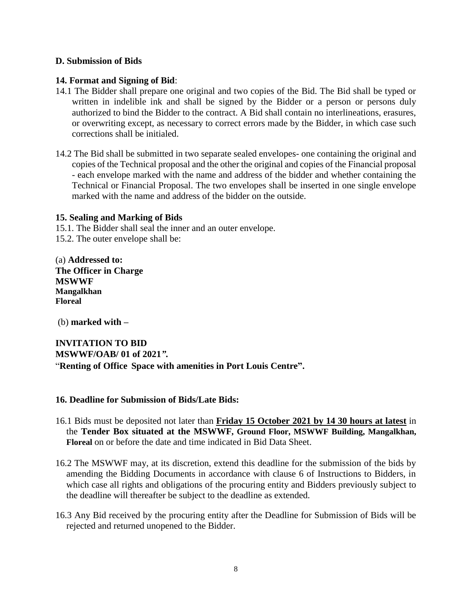### **D. Submission of Bids**

### **14. Format and Signing of Bid**:

- 14.1 The Bidder shall prepare one original and two copies of the Bid. The Bid shall be typed or written in indelible ink and shall be signed by the Bidder or a person or persons duly authorized to bind the Bidder to the contract. A Bid shall contain no interlineations, erasures, or overwriting except, as necessary to correct errors made by the Bidder, in which case such corrections shall be initialed.
- 14.2 The Bid shall be submitted in two separate sealed envelopes- one containing the original and copies of the Technical proposal and the other the original and copies of the Financial proposal - each envelope marked with the name and address of the bidder and whether containing the Technical or Financial Proposal. The two envelopes shall be inserted in one single envelope marked with the name and address of the bidder on the outside.

### **15. Sealing and Marking of Bids**

15.1. The Bidder shall seal the inner and an outer envelope.

15.2. The outer envelope shall be:

(a) **Addressed to: The Officer in Charge MSWWF Mangalkhan Floreal**

(b) **marked with –**

**INVITATION TO BID MSWWF/OAB/ 01 of 2021***"***.** "**Renting of Office Space with amenities in Port Louis Centre".**

### **16. Deadline for Submission of Bids/Late Bids:**

- 16.1 Bids must be deposited not later than **Friday 15 October 2021 by 14 30 hours at latest** in the **Tender Box situated at the MSWWF, Ground Floor, MSWWF Building, Mangalkhan, Floreal** on or before the date and time indicated in Bid Data Sheet.
- 16.2 The MSWWF may, at its discretion, extend this deadline for the submission of the bids by amending the Bidding Documents in accordance with clause 6 of Instructions to Bidders, in which case all rights and obligations of the procuring entity and Bidders previously subject to the deadline will thereafter be subject to the deadline as extended.
- 16.3 Any Bid received by the procuring entity after the Deadline for Submission of Bids will be rejected and returned unopened to the Bidder.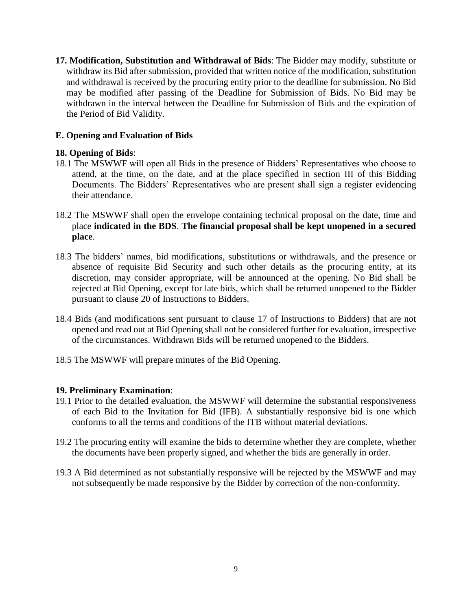**17. Modification, Substitution and Withdrawal of Bids**: The Bidder may modify, substitute or withdraw its Bid after submission, provided that written notice of the modification, substitution and withdrawal is received by the procuring entity prior to the deadline for submission. No Bid may be modified after passing of the Deadline for Submission of Bids. No Bid may be withdrawn in the interval between the Deadline for Submission of Bids and the expiration of the Period of Bid Validity.

## **E. Opening and Evaluation of Bids**

## **18. Opening of Bids**:

- 18.1 The MSWWF will open all Bids in the presence of Bidders' Representatives who choose to attend, at the time, on the date, and at the place specified in section III of this Bidding Documents. The Bidders' Representatives who are present shall sign a register evidencing their attendance.
- 18.2 The MSWWF shall open the envelope containing technical proposal on the date, time and place **indicated in the BDS**. **The financial proposal shall be kept unopened in a secured place**.
- 18.3 The bidders' names, bid modifications, substitutions or withdrawals, and the presence or absence of requisite Bid Security and such other details as the procuring entity, at its discretion, may consider appropriate, will be announced at the opening. No Bid shall be rejected at Bid Opening, except for late bids, which shall be returned unopened to the Bidder pursuant to clause 20 of Instructions to Bidders.
- 18.4 Bids (and modifications sent pursuant to clause 17 of Instructions to Bidders) that are not opened and read out at Bid Opening shall not be considered further for evaluation, irrespective of the circumstances. Withdrawn Bids will be returned unopened to the Bidders.
- 18.5 The MSWWF will prepare minutes of the Bid Opening.

## **19. Preliminary Examination**:

- 19.1 Prior to the detailed evaluation, the MSWWF will determine the substantial responsiveness of each Bid to the Invitation for Bid (IFB). A substantially responsive bid is one which conforms to all the terms and conditions of the ITB without material deviations.
- 19.2 The procuring entity will examine the bids to determine whether they are complete, whether the documents have been properly signed, and whether the bids are generally in order.
- 19.3 A Bid determined as not substantially responsive will be rejected by the MSWWF and may not subsequently be made responsive by the Bidder by correction of the non-conformity.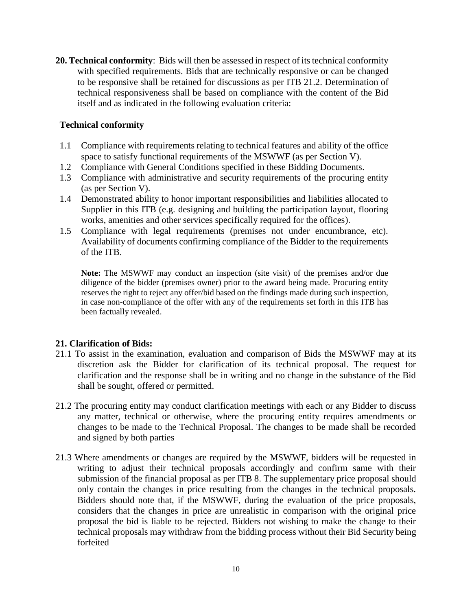**20. Technical conformity**: Bids will then be assessed in respect of its technical conformity with specified requirements. Bids that are technically responsive or can be changed to be responsive shall be retained for discussions as per ITB 21.2. Determination of technical responsiveness shall be based on compliance with the content of the Bid itself and as indicated in the following evaluation criteria:

## **Technical conformity**

- 1.1 Compliance with requirements relating to technical features and ability of the office space to satisfy functional requirements of the MSWWF (as per Section V).
- 1.2 Compliance with General Conditions specified in these Bidding Documents.
- 1.3 Compliance with administrative and security requirements of the procuring entity (as per Section V).
- 1.4 Demonstrated ability to honor important responsibilities and liabilities allocated to Supplier in this ITB (e.g. designing and building the participation layout, flooring works, amenities and other services specifically required for the offices).
- 1.5 Compliance with legal requirements (premises not under encumbrance, etc). Availability of documents confirming compliance of the Bidder to the requirements of the ITB.

**Note:** The MSWWF may conduct an inspection (site visit) of the premises and/or due diligence of the bidder (premises owner) prior to the award being made. Procuring entity reserves the right to reject any offer/bid based on the findings made during such inspection, in case non-compliance of the offer with any of the requirements set forth in this ITB has been factually revealed.

### **21. Clarification of Bids:**

- 21.1 To assist in the examination, evaluation and comparison of Bids the MSWWF may at its discretion ask the Bidder for clarification of its technical proposal. The request for clarification and the response shall be in writing and no change in the substance of the Bid shall be sought, offered or permitted.
- 21.2 The procuring entity may conduct clarification meetings with each or any Bidder to discuss any matter, technical or otherwise, where the procuring entity requires amendments or changes to be made to the Technical Proposal. The changes to be made shall be recorded and signed by both parties
- 21.3 Where amendments or changes are required by the MSWWF, bidders will be requested in writing to adjust their technical proposals accordingly and confirm same with their submission of the financial proposal as per ITB 8. The supplementary price proposal should only contain the changes in price resulting from the changes in the technical proposals. Bidders should note that, if the MSWWF, during the evaluation of the price proposals, considers that the changes in price are unrealistic in comparison with the original price proposal the bid is liable to be rejected. Bidders not wishing to make the change to their technical proposals may withdraw from the bidding process without their Bid Security being forfeited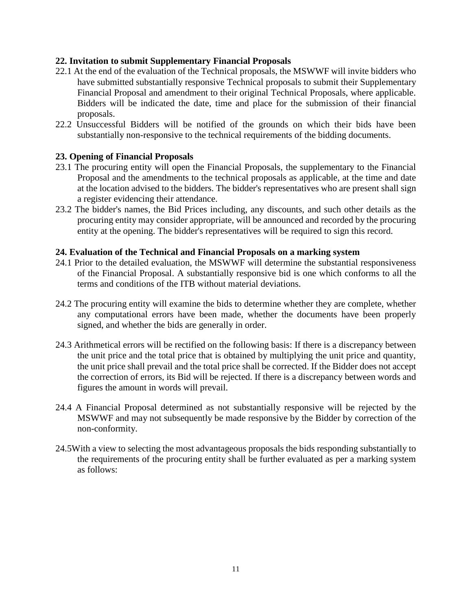## **22. Invitation to submit Supplementary Financial Proposals**

- 22.1 At the end of the evaluation of the Technical proposals, the MSWWF will invite bidders who have submitted substantially responsive Technical proposals to submit their Supplementary Financial Proposal and amendment to their original Technical Proposals, where applicable. Bidders will be indicated the date, time and place for the submission of their financial proposals.
- 22.2 Unsuccessful Bidders will be notified of the grounds on which their bids have been substantially non-responsive to the technical requirements of the bidding documents.

## **23. Opening of Financial Proposals**

- 23.1 The procuring entity will open the Financial Proposals, the supplementary to the Financial Proposal and the amendments to the technical proposals as applicable, at the time and date at the location advised to the bidders. The bidder's representatives who are present shall sign a register evidencing their attendance.
- 23.2 The bidder's names, the Bid Prices including, any discounts, and such other details as the procuring entity may consider appropriate, will be announced and recorded by the procuring entity at the opening. The bidder's representatives will be required to sign this record.

### **24. Evaluation of the Technical and Financial Proposals on a marking system**

- 24.1 Prior to the detailed evaluation, the MSWWF will determine the substantial responsiveness of the Financial Proposal. A substantially responsive bid is one which conforms to all the terms and conditions of the ITB without material deviations.
- 24.2 The procuring entity will examine the bids to determine whether they are complete, whether any computational errors have been made, whether the documents have been properly signed, and whether the bids are generally in order.
- 24.3 Arithmetical errors will be rectified on the following basis: If there is a discrepancy between the unit price and the total price that is obtained by multiplying the unit price and quantity, the unit price shall prevail and the total price shall be corrected. If the Bidder does not accept the correction of errors, its Bid will be rejected. If there is a discrepancy between words and figures the amount in words will prevail.
- 24.4 A Financial Proposal determined as not substantially responsive will be rejected by the MSWWF and may not subsequently be made responsive by the Bidder by correction of the non-conformity.
- 24.5With a view to selecting the most advantageous proposals the bids responding substantially to the requirements of the procuring entity shall be further evaluated as per a marking system as follows: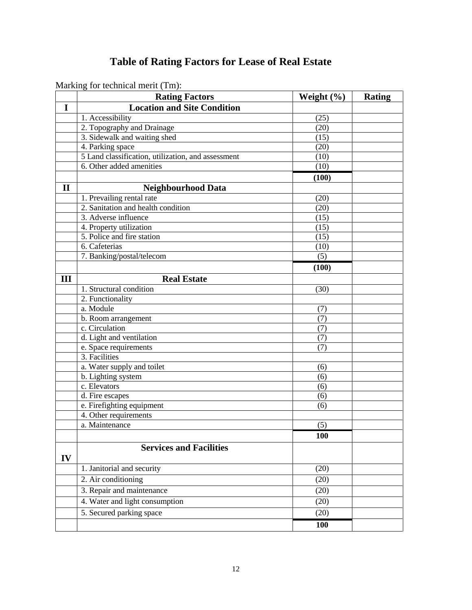## **Table of Rating Factors for Lease of Real Estate**

|              | Marking for technical mem (Thi).                   |                  |               |
|--------------|----------------------------------------------------|------------------|---------------|
|              | <b>Rating Factors</b>                              | Weight $(\% )$   | <b>Rating</b> |
| $\mathbf I$  | <b>Location and Site Condition</b>                 |                  |               |
|              | 1. Accessibility                                   | (25)             |               |
|              | 2. Topography and Drainage                         | (20)             |               |
|              | 3. Sidewalk and waiting shed                       | (15)             |               |
|              | 4. Parking space                                   | (20)             |               |
|              | 5 Land classification, utilization, and assessment | (10)             |               |
|              | 6. Other added amenities                           | (10)             |               |
|              |                                                    | (100)            |               |
| $\mathbf{I}$ | <b>Neighbourhood Data</b>                          |                  |               |
|              | 1. Prevailing rental rate                          | (20)             |               |
|              | 2. Sanitation and health condition                 | (20)             |               |
|              | 3. Adverse influence                               | (15)             |               |
|              | 4. Property utilization                            | (15)             |               |
|              | 5. Police and fire station                         | (15)             |               |
|              | 6. Cafeterias                                      | (10)             |               |
|              | 7. Banking/postal/telecom                          | (5)              |               |
|              |                                                    | (100)            |               |
| III          | <b>Real Estate</b>                                 |                  |               |
|              | 1. Structural condition                            | (30)             |               |
|              | 2. Functionality                                   |                  |               |
|              | a. Module                                          | (7)              |               |
|              | b. Room arrangement                                | $\overline{(7)}$ |               |
|              | c. Circulation                                     | (7)              |               |
|              | d. Light and ventilation                           | (7)              |               |
|              | e. Space requirements                              | (7)              |               |
|              | 3. Facilities                                      |                  |               |
|              | a. Water supply and toilet                         | (6)              |               |
|              | b. Lighting system                                 | (6)              |               |
|              | c. Elevators                                       | (6)              |               |
|              | d. Fire escapes                                    | (6)              |               |
|              | e. Firefighting equipment                          | (6)              |               |
|              | 4. Other requirements                              |                  |               |
|              | a. Maintenance                                     | (5)              |               |
|              |                                                    | 100              |               |
|              | <b>Services and Facilities</b>                     |                  |               |
| IV           |                                                    |                  |               |
|              | 1. Janitorial and security                         | (20)             |               |
|              | 2. Air conditioning                                | (20)             |               |
|              | 3. Repair and maintenance                          | (20)             |               |
|              | 4. Water and light consumption                     | (20)             |               |
|              | 5. Secured parking space                           | (20)             |               |
|              |                                                    |                  |               |
|              |                                                    | 100              |               |

Marking for technical merit (Tm):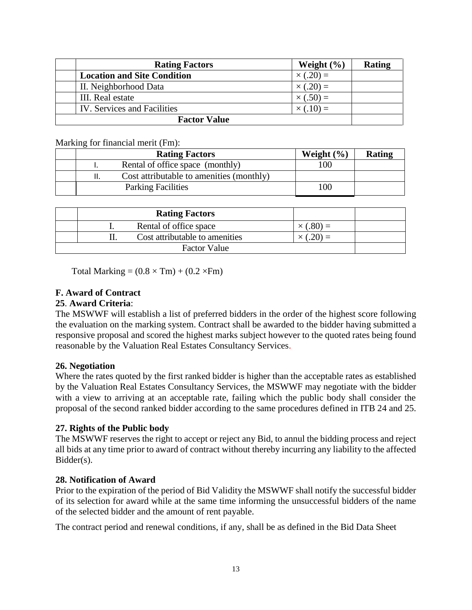|                     | <b>Rating Factors</b>              | Weight $(\% )$    | Rating |  |  |  |
|---------------------|------------------------------------|-------------------|--------|--|--|--|
|                     | <b>Location and Site Condition</b> | $\times$ (.20) =  |        |  |  |  |
|                     | II. Neighborhood Data              | $\times$ (.20) =  |        |  |  |  |
|                     | III. Real estate                   | $\times (.50) =$  |        |  |  |  |
|                     | <b>IV.</b> Services and Facilities | $\times (0.10) =$ |        |  |  |  |
| <b>Factor Value</b> |                                    |                   |        |  |  |  |

Marking for financial merit (Fm):

|  | <b>Rating Factors</b>                    | Weight $(\% )$ | Rating |
|--|------------------------------------------|----------------|--------|
|  | Rental of office space (monthly)         | 100            |        |
|  | Cost attributable to amenities (monthly) |                |        |
|  | <b>Parking Facilities</b>                | 100            |        |

|  | <b>Rating Factors</b>          |  |
|--|--------------------------------|--|
|  | Rental of office space         |  |
|  | Cost attributable to amenities |  |
|  | <b>Factor Value</b>            |  |

Total Marking  $= (0.8 \times Tm) + (0.2 \times Fm)$ 

## **F. Award of Contract**

#### **25**. **Award Criteria**:

The MSWWF will establish a list of preferred bidders in the order of the highest score following the evaluation on the marking system. Contract shall be awarded to the bidder having submitted a responsive proposal and scored the highest marks subject however to the quoted rates being found reasonable by the Valuation Real Estates Consultancy Services.

### **26. Negotiation**

Where the rates quoted by the first ranked bidder is higher than the acceptable rates as established by the Valuation Real Estates Consultancy Services, the MSWWF may negotiate with the bidder with a view to arriving at an acceptable rate, failing which the public body shall consider the proposal of the second ranked bidder according to the same procedures defined in ITB 24 and 25.

### **27. Rights of the Public body**

The MSWWF reserves the right to accept or reject any Bid, to annul the bidding process and reject all bids at any time prior to award of contract without thereby incurring any liability to the affected Bidder(s).

### **28. Notification of Award**

Prior to the expiration of the period of Bid Validity the MSWWF shall notify the successful bidder of its selection for award while at the same time informing the unsuccessful bidders of the name of the selected bidder and the amount of rent payable.

The contract period and renewal conditions, if any, shall be as defined in the Bid Data Sheet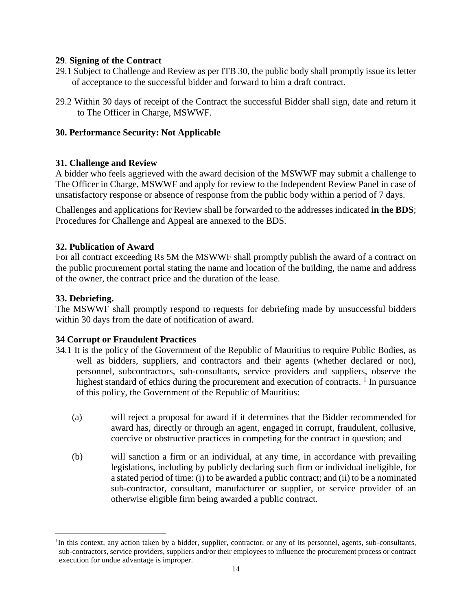### **29**. **Signing of the Contract**

- 29.1 Subject to Challenge and Review as per ITB 30, the public body shall promptly issue its letter of acceptance to the successful bidder and forward to him a draft contract.
- 29.2 Within 30 days of receipt of the Contract the successful Bidder shall sign, date and return it to The Officer in Charge, MSWWF.

## **30. Performance Security: Not Applicable**

## **31. Challenge and Review**

A bidder who feels aggrieved with the award decision of the MSWWF may submit a challenge to The Officer in Charge, MSWWF and apply for review to the Independent Review Panel in case of unsatisfactory response or absence of response from the public body within a period of 7 days.

Challenges and applications for Review shall be forwarded to the addresses indicated **in the BDS**; Procedures for Challenge and Appeal are annexed to the BDS.

## **32. Publication of Award**

For all contract exceeding Rs 5M the MSWWF shall promptly publish the award of a contract on the public procurement portal stating the name and location of the building, the name and address of the owner, the contract price and the duration of the lease.

## **33. Debriefing.**

 $\overline{a}$ 

The MSWWF shall promptly respond to requests for debriefing made by unsuccessful bidders within 30 days from the date of notification of award.

## **34 Corrupt or Fraudulent Practices**

- 34.1 It is the policy of the Government of the Republic of Mauritius to require Public Bodies, as well as bidders, suppliers, and contractors and their agents (whether declared or not), personnel, subcontractors, sub-consultants, service providers and suppliers, observe the highest standard of ethics during the procurement and execution of contracts.  $\frac{1}{1}$  In pursuance of this policy, the Government of the Republic of Mauritius:
	- (a) will reject a proposal for award if it determines that the Bidder recommended for award has, directly or through an agent, engaged in corrupt, fraudulent, collusive, coercive or obstructive practices in competing for the contract in question; and
	- (b) will sanction a firm or an individual, at any time, in accordance with prevailing legislations, including by publicly declaring such firm or individual ineligible, for a stated period of time: (i) to be awarded a public contract; and (ii) to be a nominated sub-contractor, consultant, manufacturer or supplier, or service provider of an otherwise eligible firm being awarded a public contract.

<sup>&</sup>lt;sup>1</sup>In this context, any action taken by a bidder, supplier, contractor, or any of its personnel, agents, sub-consultants, sub-contractors, service providers, suppliers and/or their employees to influence the procurement process or contract execution for undue advantage is improper.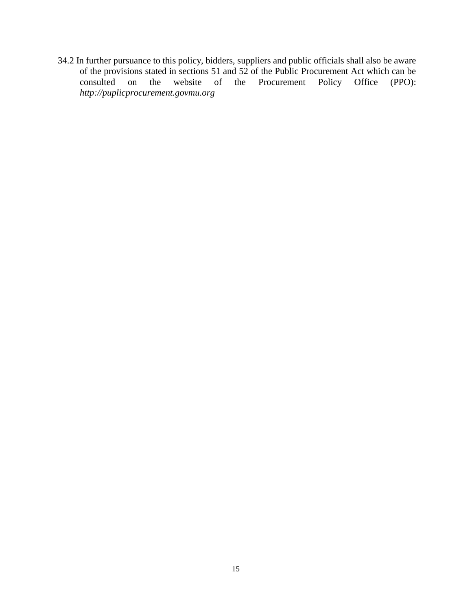34.2 In further pursuance to this policy, bidders, suppliers and public officials shall also be aware of the provisions stated in sections 51 and 52 of the Public Procurement Act which can be consulted on the website of the Procurement Policy Office (PPO): consulted on the website of the Procurement Policy Office *[http://puplicprocurement.govmu.](http://puplicprocurement.govmu/)org*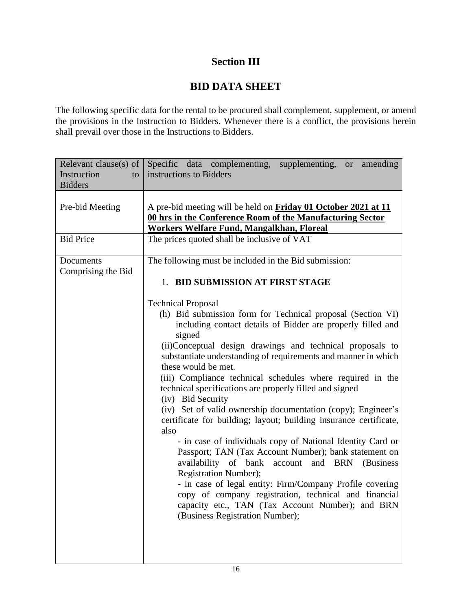## **Section III**

## **BID DATA SHEET**

The following specific data for the rental to be procured shall complement, supplement, or amend the provisions in the Instruction to Bidders. Whenever there is a conflict, the provisions herein shall prevail over those in the Instructions to Bidders.

| Relevant clause(s) of $\vert$   | Specific data complementing, supplementing,<br>amending<br>or or                                                                                                                                                                                                                                                                                                                                                                                                                                                                                                                                                                                                                                                                                                                                                                                                                                                                                                                                                                            |
|---------------------------------|---------------------------------------------------------------------------------------------------------------------------------------------------------------------------------------------------------------------------------------------------------------------------------------------------------------------------------------------------------------------------------------------------------------------------------------------------------------------------------------------------------------------------------------------------------------------------------------------------------------------------------------------------------------------------------------------------------------------------------------------------------------------------------------------------------------------------------------------------------------------------------------------------------------------------------------------------------------------------------------------------------------------------------------------|
| Instruction<br>to               | instructions to Bidders                                                                                                                                                                                                                                                                                                                                                                                                                                                                                                                                                                                                                                                                                                                                                                                                                                                                                                                                                                                                                     |
| <b>Bidders</b>                  |                                                                                                                                                                                                                                                                                                                                                                                                                                                                                                                                                                                                                                                                                                                                                                                                                                                                                                                                                                                                                                             |
| Pre-bid Meeting                 | A pre-bid meeting will be held on Friday 01 October 2021 at 11<br>00 hrs in the Conference Room of the Manufacturing Sector<br>Workers Welfare Fund, Mangalkhan, Floreal                                                                                                                                                                                                                                                                                                                                                                                                                                                                                                                                                                                                                                                                                                                                                                                                                                                                    |
| <b>Bid Price</b>                | The prices quoted shall be inclusive of VAT                                                                                                                                                                                                                                                                                                                                                                                                                                                                                                                                                                                                                                                                                                                                                                                                                                                                                                                                                                                                 |
| Documents<br>Comprising the Bid | The following must be included in the Bid submission:                                                                                                                                                                                                                                                                                                                                                                                                                                                                                                                                                                                                                                                                                                                                                                                                                                                                                                                                                                                       |
|                                 | 1. BID SUBMISSION AT FIRST STAGE                                                                                                                                                                                                                                                                                                                                                                                                                                                                                                                                                                                                                                                                                                                                                                                                                                                                                                                                                                                                            |
|                                 | <b>Technical Proposal</b><br>(h) Bid submission form for Technical proposal (Section VI)<br>including contact details of Bidder are properly filled and<br>signed<br>(ii)Conceptual design drawings and technical proposals to<br>substantiate understanding of requirements and manner in which<br>these would be met.<br>(iii) Compliance technical schedules where required in the<br>technical specifications are properly filled and signed<br>(iv) Bid Security<br>(iv) Set of valid ownership documentation (copy); Engineer's<br>certificate for building; layout; building insurance certificate,<br>also<br>- in case of individuals copy of National Identity Card or<br>Passport; TAN (Tax Account Number); bank statement on<br>availability of bank account and BRN<br>(Business)<br><b>Registration Number);</b><br>- in case of legal entity: Firm/Company Profile covering<br>copy of company registration, technical and financial<br>capacity etc., TAN (Tax Account Number); and BRN<br>(Business Registration Number); |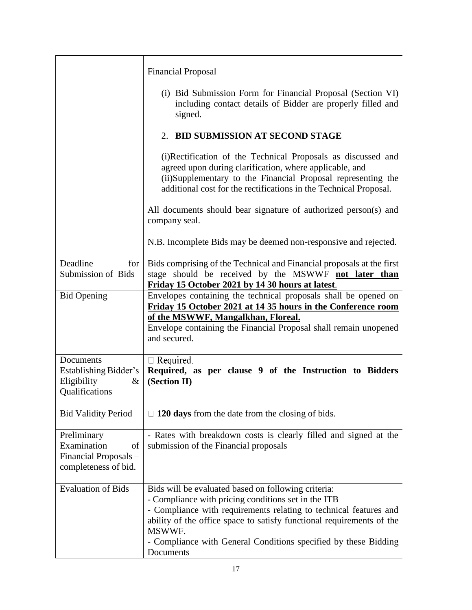|                                                                                   | <b>Financial Proposal</b>                                                                                                                                                                                                                                                                                                                          |
|-----------------------------------------------------------------------------------|----------------------------------------------------------------------------------------------------------------------------------------------------------------------------------------------------------------------------------------------------------------------------------------------------------------------------------------------------|
|                                                                                   | (i) Bid Submission Form for Financial Proposal (Section VI)<br>including contact details of Bidder are properly filled and<br>signed.                                                                                                                                                                                                              |
|                                                                                   | 2. BID SUBMISSION AT SECOND STAGE                                                                                                                                                                                                                                                                                                                  |
|                                                                                   | (i)Rectification of the Technical Proposals as discussed and<br>agreed upon during clarification, where applicable, and<br>(ii)Supplementary to the Financial Proposal representing the<br>additional cost for the rectifications in the Technical Proposal.                                                                                       |
|                                                                                   | All documents should bear signature of authorized person(s) and<br>company seal.                                                                                                                                                                                                                                                                   |
|                                                                                   | N.B. Incomplete Bids may be deemed non-responsive and rejected.                                                                                                                                                                                                                                                                                    |
| Deadline<br>for<br>Submission of Bids                                             | Bids comprising of the Technical and Financial proposals at the first<br>stage should be received by the MSWWF not later than<br>Friday 15 October 2021 by 14 30 hours at latest.                                                                                                                                                                  |
| <b>Bid Opening</b>                                                                | Envelopes containing the technical proposals shall be opened on<br>Friday 15 October 2021 at 14 35 hours in the Conference room<br>of the MSWWF, Mangalkhan, Floreal.<br>Envelope containing the Financial Proposal shall remain unopened<br>and secured.                                                                                          |
| Documents<br>Establishing Bidder's<br>Eligibility<br>&<br>Qualifications          | $\Box$ Required.<br>Required, as per clause 9 of the Instruction to Bidders<br>(Section II)                                                                                                                                                                                                                                                        |
| <b>Bid Validity Period</b>                                                        | $\Box$ 120 days from the date from the closing of bids.                                                                                                                                                                                                                                                                                            |
| Preliminary<br>Examination<br>of<br>Financial Proposals -<br>completeness of bid. | - Rates with breakdown costs is clearly filled and signed at the<br>submission of the Financial proposals                                                                                                                                                                                                                                          |
| <b>Evaluation of Bids</b>                                                         | Bids will be evaluated based on following criteria:<br>- Compliance with pricing conditions set in the ITB<br>- Compliance with requirements relating to technical features and<br>ability of the office space to satisfy functional requirements of the<br>MSWWF.<br>- Compliance with General Conditions specified by these Bidding<br>Documents |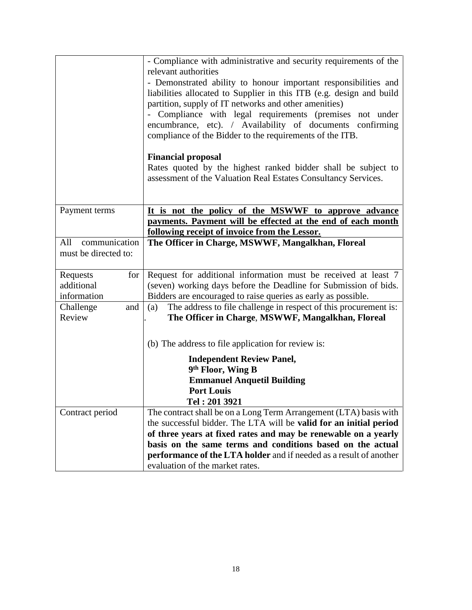|                      | - Compliance with administrative and security requirements of the       |
|----------------------|-------------------------------------------------------------------------|
|                      | relevant authorities                                                    |
|                      | - Demonstrated ability to honour important responsibilities and         |
|                      | liabilities allocated to Supplier in this ITB (e.g. design and build    |
|                      | partition, supply of IT networks and other amenities)                   |
|                      | Compliance with legal requirements (premises not under                  |
|                      | encumbrance, etc). / Availability of documents confirming               |
|                      | compliance of the Bidder to the requirements of the ITB.                |
|                      | <b>Financial proposal</b>                                               |
|                      | Rates quoted by the highest ranked bidder shall be subject to           |
|                      | assessment of the Valuation Real Estates Consultancy Services.          |
|                      |                                                                         |
|                      |                                                                         |
| Payment terms        | It is not the policy of the MSWWF to approve advance                    |
|                      | payments. Payment will be effected at the end of each month             |
|                      | <u>following receipt of invoice from the Lessor.</u>                    |
| All<br>communication | The Officer in Charge, MSWWF, Mangalkhan, Floreal                       |
| must be directed to: |                                                                         |
|                      |                                                                         |
| Requests<br>for      | Request for additional information must be received at least 7          |
| additional           | (seven) working days before the Deadline for Submission of bids.        |
| information          | Bidders are encouraged to raise queries as early as possible.           |
| Challenge<br>and     | The address to file challenge in respect of this procurement is:<br>(a) |
| Review               | The Officer in Charge, MSWWF, Mangalkhan, Floreal                       |
|                      |                                                                         |
|                      | (b) The address to file application for review is:                      |
|                      | <b>Independent Review Panel,</b>                                        |
|                      | 9 <sup>th</sup> Floor, Wing B                                           |
|                      | <b>Emmanuel Anquetil Building</b>                                       |
|                      | <b>Port Louis</b>                                                       |
|                      | Tel: 201 3921                                                           |
| Contract period      | The contract shall be on a Long Term Arrangement (LTA) basis with       |
|                      | the successful bidder. The LTA will be valid for an initial period      |
|                      | of three years at fixed rates and may be renewable on a yearly          |
|                      | basis on the same terms and conditions based on the actual              |
|                      | performance of the LTA holder and if needed as a result of another      |
|                      | evaluation of the market rates.                                         |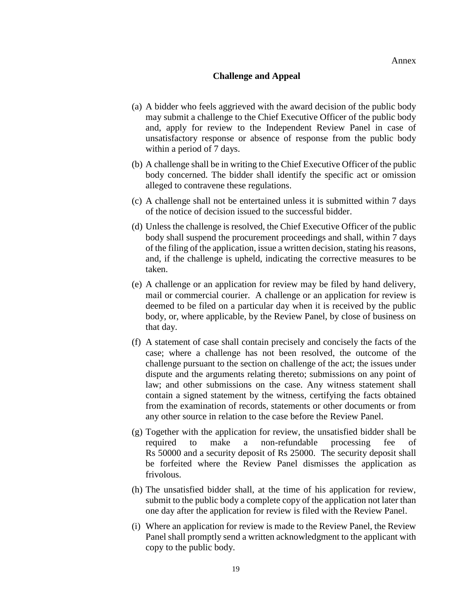#### **Challenge and Appeal**

- (a) A bidder who feels aggrieved with the award decision of the public body may submit a challenge to the Chief Executive Officer of the public body and, apply for review to the Independent Review Panel in case of unsatisfactory response or absence of response from the public body within a period of 7 days.
- (b) A challenge shall be in writing to the Chief Executive Officer of the public body concerned. The bidder shall identify the specific act or omission alleged to contravene these regulations.
- (c) A challenge shall not be entertained unless it is submitted within 7 days of the notice of decision issued to the successful bidder.
- (d) Unless the challenge is resolved, the Chief Executive Officer of the public body shall suspend the procurement proceedings and shall, within 7 days of the filing of the application, issue a written decision, stating his reasons, and, if the challenge is upheld, indicating the corrective measures to be taken.
- (e) A challenge or an application for review may be filed by hand delivery, mail or commercial courier. A challenge or an application for review is deemed to be filed on a particular day when it is received by the public body, or, where applicable, by the Review Panel, by close of business on that day.
- (f) A statement of case shall contain precisely and concisely the facts of the case; where a challenge has not been resolved, the outcome of the challenge pursuant to the section on challenge of the act; the issues under dispute and the arguments relating thereto; submissions on any point of law; and other submissions on the case. Any witness statement shall contain a signed statement by the witness, certifying the facts obtained from the examination of records, statements or other documents or from any other source in relation to the case before the Review Panel.
- (g) Together with the application for review, the unsatisfied bidder shall be required to make a non-refundable processing fee of Rs 50000 and a security deposit of Rs 25000. The security deposit shall be forfeited where the Review Panel dismisses the application as frivolous.
- (h) The unsatisfied bidder shall, at the time of his application for review, submit to the public body a complete copy of the application not later than one day after the application for review is filed with the Review Panel.
- (i) Where an application for review is made to the Review Panel, the Review Panel shall promptly send a written acknowledgment to the applicant with copy to the public body.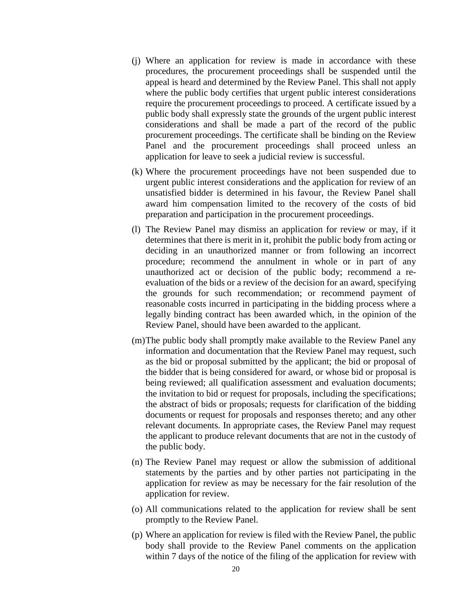- (j) Where an application for review is made in accordance with these procedures, the procurement proceedings shall be suspended until the appeal is heard and determined by the Review Panel. This shall not apply where the public body certifies that urgent public interest considerations require the procurement proceedings to proceed. A certificate issued by a public body shall expressly state the grounds of the urgent public interest considerations and shall be made a part of the record of the public procurement proceedings. The certificate shall be binding on the Review Panel and the procurement proceedings shall proceed unless an application for leave to seek a judicial review is successful.
- (k) Where the procurement proceedings have not been suspended due to urgent public interest considerations and the application for review of an unsatisfied bidder is determined in his favour, the Review Panel shall award him compensation limited to the recovery of the costs of bid preparation and participation in the procurement proceedings.
- (l) The Review Panel may dismiss an application for review or may, if it determines that there is merit in it, prohibit the public body from acting or deciding in an unauthorized manner or from following an incorrect procedure; recommend the annulment in whole or in part of any unauthorized act or decision of the public body; recommend a reevaluation of the bids or a review of the decision for an award, specifying the grounds for such recommendation; or recommend payment of reasonable costs incurred in participating in the bidding process where a legally binding contract has been awarded which, in the opinion of the Review Panel, should have been awarded to the applicant.
- (m)The public body shall promptly make available to the Review Panel any information and documentation that the Review Panel may request, such as the bid or proposal submitted by the applicant; the bid or proposal of the bidder that is being considered for award, or whose bid or proposal is being reviewed; all qualification assessment and evaluation documents; the invitation to bid or request for proposals, including the specifications; the abstract of bids or proposals; requests for clarification of the bidding documents or request for proposals and responses thereto; and any other relevant documents. In appropriate cases, the Review Panel may request the applicant to produce relevant documents that are not in the custody of the public body.
- (n) The Review Panel may request or allow the submission of additional statements by the parties and by other parties not participating in the application for review as may be necessary for the fair resolution of the application for review.
- (o) All communications related to the application for review shall be sent promptly to the Review Panel.
- (p) Where an application for review is filed with the Review Panel, the public body shall provide to the Review Panel comments on the application within 7 days of the notice of the filing of the application for review with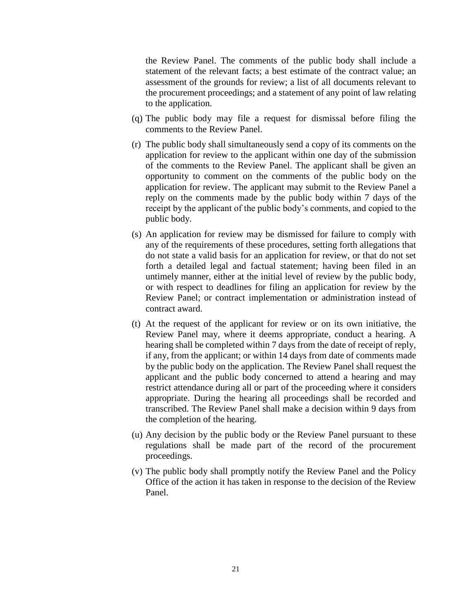the Review Panel. The comments of the public body shall include a statement of the relevant facts; a best estimate of the contract value; an assessment of the grounds for review; a list of all documents relevant to the procurement proceedings; and a statement of any point of law relating to the application.

- (q) The public body may file a request for dismissal before filing the comments to the Review Panel.
- (r) The public body shall simultaneously send a copy of its comments on the application for review to the applicant within one day of the submission of the comments to the Review Panel. The applicant shall be given an opportunity to comment on the comments of the public body on the application for review. The applicant may submit to the Review Panel a reply on the comments made by the public body within 7 days of the receipt by the applicant of the public body's comments, and copied to the public body.
- (s) An application for review may be dismissed for failure to comply with any of the requirements of these procedures, setting forth allegations that do not state a valid basis for an application for review, or that do not set forth a detailed legal and factual statement; having been filed in an untimely manner, either at the initial level of review by the public body, or with respect to deadlines for filing an application for review by the Review Panel; or contract implementation or administration instead of contract award.
- (t) At the request of the applicant for review or on its own initiative, the Review Panel may, where it deems appropriate, conduct a hearing. A hearing shall be completed within 7 days from the date of receipt of reply, if any, from the applicant; or within 14 days from date of comments made by the public body on the application. The Review Panel shall request the applicant and the public body concerned to attend a hearing and may restrict attendance during all or part of the proceeding where it considers appropriate. During the hearing all proceedings shall be recorded and transcribed. The Review Panel shall make a decision within 9 days from the completion of the hearing.
- (u) Any decision by the public body or the Review Panel pursuant to these regulations shall be made part of the record of the procurement proceedings.
- (v) The public body shall promptly notify the Review Panel and the Policy Office of the action it has taken in response to the decision of the Review Panel.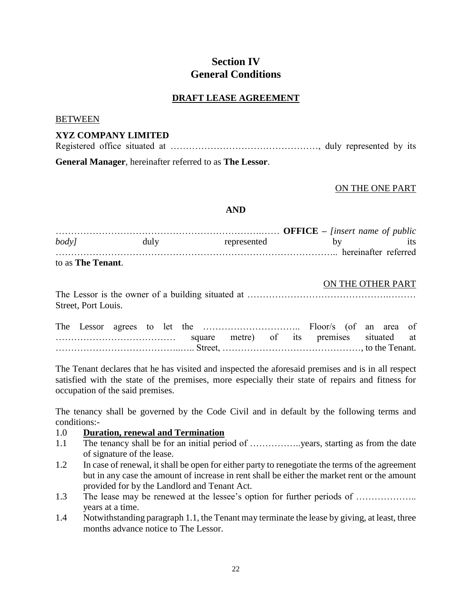## **Section IV General Conditions**

## **DRAFT LEASE AGREEMENT**

#### BETWEEN

## **XYZ COMPANY LIMITED**

Registered office situated at …………………………………………, duly represented by its **General Manager**, hereinafter referred to as **The Lessor**.

#### ON THE ONE PART

#### **AND**

| <i>body</i>                              | duly | represented          |  |
|------------------------------------------|------|----------------------|--|
|                                          |      | hereinafter referred |  |
| $\mathbf{1}$ . The Terms of $\mathbf{1}$ |      |                      |  |

to as **The Tenant**.

#### ON THE OTHER PART

| Street, Port Louis. |  |  |  |
|---------------------|--|--|--|

|  |  | square metre) of its premises situated at |  |  |  |  |
|--|--|-------------------------------------------|--|--|--|--|
|  |  |                                           |  |  |  |  |

The Tenant declares that he has visited and inspected the aforesaid premises and is in all respect satisfied with the state of the premises, more especially their state of repairs and fitness for occupation of the said premises.

The tenancy shall be governed by the Code Civil and in default by the following terms and conditions:-

### 1.0 **Duration, renewal and Termination**

- 1.1 The tenancy shall be for an initial period of ……………..years, starting as from the date of signature of the lease.
- 1.2 In case of renewal, it shall be open for either party to renegotiate the terms of the agreement but in any case the amount of increase in rent shall be either the market rent or the amount provided for by the Landlord and Tenant Act.
- 1.3 The lease may be renewed at the lessee's option for further periods of ……………….. years at a time.
- 1.4 Notwithstanding paragraph 1.1, the Tenant may terminate the lease by giving, at least, three months advance notice to The Lessor.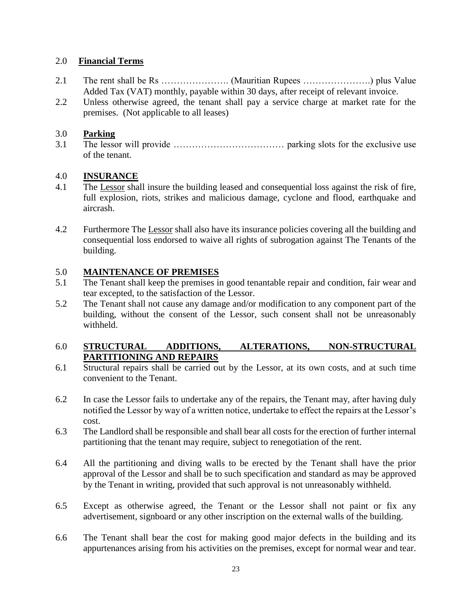## 2.0 **Financial Terms**

- 2.1 The rent shall be Rs …………………. (Mauritian Rupees ………………….) plus Value Added Tax (VAT) monthly, payable within 30 days, after receipt of relevant invoice.
- 2.2 Unless otherwise agreed, the tenant shall pay a service charge at market rate for the premises. (Not applicable to all leases)

## 3.0 **Parking**

3.1 The lessor will provide ……………………………… parking slots for the exclusive use of the tenant.

## 4.0 **INSURANCE**

- 4.1 The Lessor shall insure the building leased and consequential loss against the risk of fire, full explosion, riots, strikes and malicious damage, cyclone and flood, earthquake and aircrash.
- 4.2 Furthermore The Lessor shall also have its insurance policies covering all the building and consequential loss endorsed to waive all rights of subrogation against The Tenants of the building.

## 5.0 **MAINTENANCE OF PREMISES**

- 5.1 The Tenant shall keep the premises in good tenantable repair and condition, fair wear and tear excepted, to the satisfaction of the Lessor.
- 5.2 The Tenant shall not cause any damage and/or modification to any component part of the building, without the consent of the Lessor, such consent shall not be unreasonably withheld.

## 6.0 **STRUCTURAL ADDITIONS, ALTERATIONS, NON-STRUCTURAL PARTITIONING AND REPAIRS**

- 6.1 Structural repairs shall be carried out by the Lessor, at its own costs, and at such time convenient to the Tenant.
- 6.2 In case the Lessor fails to undertake any of the repairs, the Tenant may, after having duly notified the Lessor by way of a written notice, undertake to effect the repairs at the Lessor's cost.
- 6.3 The Landlord shall be responsible and shall bear all costs for the erection of further internal partitioning that the tenant may require, subject to renegotiation of the rent.
- 6.4 All the partitioning and diving walls to be erected by the Tenant shall have the prior approval of the Lessor and shall be to such specification and standard as may be approved by the Tenant in writing, provided that such approval is not unreasonably withheld.
- 6.5 Except as otherwise agreed, the Tenant or the Lessor shall not paint or fix any advertisement, signboard or any other inscription on the external walls of the building.
- 6.6 The Tenant shall bear the cost for making good major defects in the building and its appurtenances arising from his activities on the premises, except for normal wear and tear.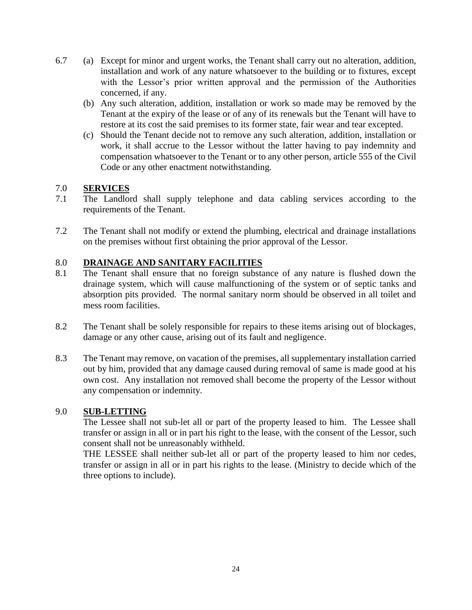- 6.7 (a) Except for minor and urgent works, the Tenant shall carry out no alteration, addition, installation and work of any nature whatsoever to the building or to fixtures, except with the Lessor's prior written approval and the permission of the Authorities concerned, if any.
	- (b) Any such alteration, addition, installation or work so made may be removed by the Tenant at the expiry of the lease or of any of its renewals but the Tenant will have to restore at its cost the said premises to its former state, fair wear and tear excepted.
	- (c) Should the Tenant decide not to remove any such alteration, addition, installation or work, it shall accrue to the Lessor without the latter having to pay indemnity and compensation whatsoever to the Tenant or to any other person, article 555 of the Civil Code or any other enactment notwithstanding.

## 7.0 **SERVICES**

- 7.1 The Landlord shall supply telephone and data cabling services according to the requirements of the Tenant.
- 7.2 The Tenant shall not modify or extend the plumbing, electrical and drainage installations on the premises without first obtaining the prior approval of the Lessor.

## 8.0 **DRAINAGE AND SANITARY FACILITIES**

- 8.1 The Tenant shall ensure that no foreign substance of any nature is flushed down the drainage system, which will cause malfunctioning of the system or of septic tanks and absorption pits provided. The normal sanitary norm should be observed in all toilet and mess room facilities.
- 8.2 The Tenant shall be solely responsible for repairs to these items arising out of blockages, damage or any other cause, arising out of its fault and negligence.
- 8.3 The Tenant may remove, on vacation of the premises, all supplementary installation carried out by him, provided that any damage caused during removal of same is made good at his own cost. Any installation not removed shall become the property of the Lessor without any compensation or indemnity.

### 9.0 **SUB-LETTING**

The Lessee shall not sub-let all or part of the property leased to him. The Lessee shall transfer or assign in all or in part his right to the lease, with the consent of the Lessor, such consent shall not be unreasonably withheld.

THE LESSEE shall neither sub-let all or part of the property leased to him nor cedes, transfer or assign in all or in part his rights to the lease. (Ministry to decide which of the three options to include).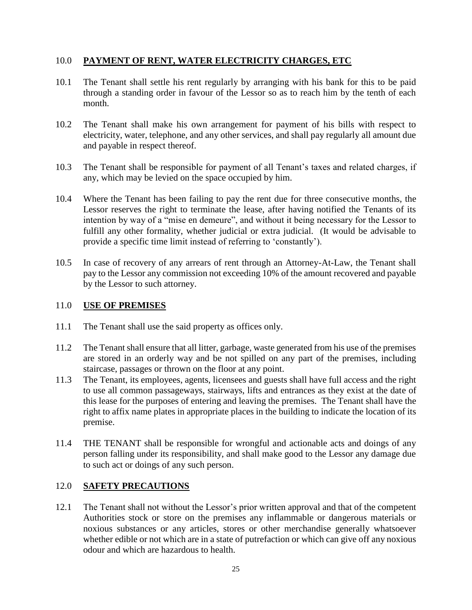## 10.0 **PAYMENT OF RENT, WATER ELECTRICITY CHARGES, ETC**

- 10.1 The Tenant shall settle his rent regularly by arranging with his bank for this to be paid through a standing order in favour of the Lessor so as to reach him by the tenth of each month.
- 10.2 The Tenant shall make his own arrangement for payment of his bills with respect to electricity, water, telephone, and any other services, and shall pay regularly all amount due and payable in respect thereof.
- 10.3 The Tenant shall be responsible for payment of all Tenant's taxes and related charges, if any, which may be levied on the space occupied by him.
- 10.4 Where the Tenant has been failing to pay the rent due for three consecutive months, the Lessor reserves the right to terminate the lease, after having notified the Tenants of its intention by way of a "mise en demeure", and without it being necessary for the Lessor to fulfill any other formality, whether judicial or extra judicial. (It would be advisable to provide a specific time limit instead of referring to 'constantly').
- 10.5 In case of recovery of any arrears of rent through an Attorney-At-Law, the Tenant shall pay to the Lessor any commission not exceeding 10% of the amount recovered and payable by the Lessor to such attorney.

## 11.0 **USE OF PREMISES**

- 11.1 The Tenant shall use the said property as offices only.
- 11.2 The Tenant shall ensure that all litter, garbage, waste generated from his use of the premises are stored in an orderly way and be not spilled on any part of the premises, including staircase, passages or thrown on the floor at any point.
- 11.3 The Tenant, its employees, agents, licensees and guests shall have full access and the right to use all common passageways, stairways, lifts and entrances as they exist at the date of this lease for the purposes of entering and leaving the premises. The Tenant shall have the right to affix name plates in appropriate places in the building to indicate the location of its premise.
- 11.4 THE TENANT shall be responsible for wrongful and actionable acts and doings of any person falling under its responsibility, and shall make good to the Lessor any damage due to such act or doings of any such person.

### 12.0 **SAFETY PRECAUTIONS**

12.1 The Tenant shall not without the Lessor's prior written approval and that of the competent Authorities stock or store on the premises any inflammable or dangerous materials or noxious substances or any articles, stores or other merchandise generally whatsoever whether edible or not which are in a state of putrefaction or which can give off any noxious odour and which are hazardous to health.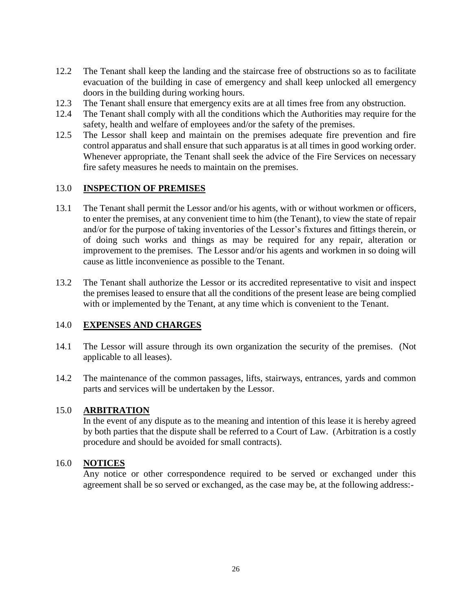- 12.2 The Tenant shall keep the landing and the staircase free of obstructions so as to facilitate evacuation of the building in case of emergency and shall keep unlocked all emergency doors in the building during working hours.
- 12.3 The Tenant shall ensure that emergency exits are at all times free from any obstruction.
- 12.4 The Tenant shall comply with all the conditions which the Authorities may require for the safety, health and welfare of employees and/or the safety of the premises.
- 12.5 The Lessor shall keep and maintain on the premises adequate fire prevention and fire control apparatus and shall ensure that such apparatus is at all times in good working order. Whenever appropriate, the Tenant shall seek the advice of the Fire Services on necessary fire safety measures he needs to maintain on the premises.

## 13.0 **INSPECTION OF PREMISES**

- 13.1 The Tenant shall permit the Lessor and/or his agents, with or without workmen or officers, to enter the premises, at any convenient time to him (the Tenant), to view the state of repair and/or for the purpose of taking inventories of the Lessor's fixtures and fittings therein, or of doing such works and things as may be required for any repair, alteration or improvement to the premises. The Lessor and/or his agents and workmen in so doing will cause as little inconvenience as possible to the Tenant.
- 13.2 The Tenant shall authorize the Lessor or its accredited representative to visit and inspect the premises leased to ensure that all the conditions of the present lease are being complied with or implemented by the Tenant, at any time which is convenient to the Tenant.

### 14.0 **EXPENSES AND CHARGES**

- 14.1 The Lessor will assure through its own organization the security of the premises. (Not applicable to all leases).
- 14.2 The maintenance of the common passages, lifts, stairways, entrances, yards and common parts and services will be undertaken by the Lessor.

### 15.0 **ARBITRATION**

In the event of any dispute as to the meaning and intention of this lease it is hereby agreed by both parties that the dispute shall be referred to a Court of Law. (Arbitration is a costly procedure and should be avoided for small contracts).

### 16.0 **NOTICES**

Any notice or other correspondence required to be served or exchanged under this agreement shall be so served or exchanged, as the case may be, at the following address:-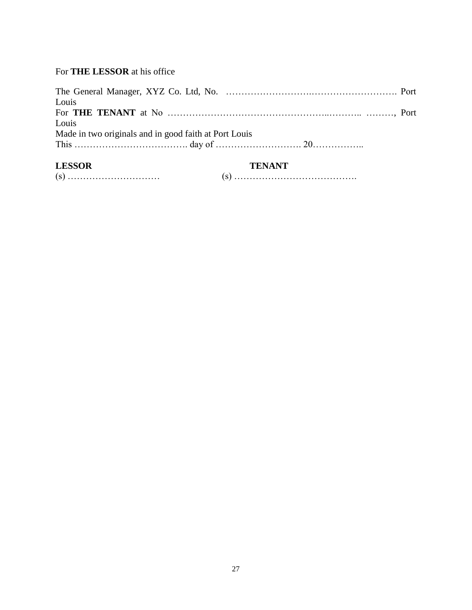## For **THE LESSOR** at his office

| <b>I FSSOP</b>                                        | <b>TENANT</b> |  |
|-------------------------------------------------------|---------------|--|
|                                                       |               |  |
| Made in two originals and in good faith at Port Louis |               |  |
| Louis                                                 |               |  |
|                                                       |               |  |
| Louis                                                 |               |  |
|                                                       |               |  |
|                                                       |               |  |

| LESSUK |  |
|--------|--|
|        |  |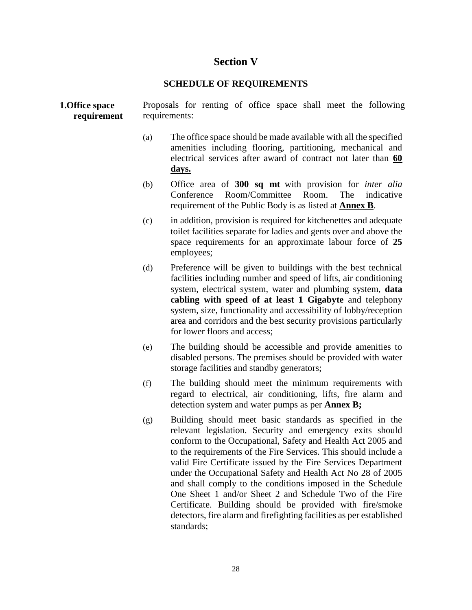## **Section V**

### **SCHEDULE OF REQUIREMENTS**

**1.Office space requirement**  Proposals for renting of office space shall meet the following requirements:

- (a) The office space should be made available with all the specified amenities including flooring, partitioning, mechanical and electrical services after award of contract not later than **60 days.**
- (b) Office area of **300 sq mt** with provision for *inter alia* Conference Room/Committee Room. The indicative requirement of the Public Body is as listed at **Annex B**.
- (c) in addition, provision is required for kitchenettes and adequate toilet facilities separate for ladies and gents over and above the space requirements for an approximate labour force of **25** employees;
- (d) Preference will be given to buildings with the best technical facilities including number and speed of lifts, air conditioning system, electrical system, water and plumbing system, **data cabling with speed of at least 1 Gigabyte** and telephony system, size, functionality and accessibility of lobby/reception area and corridors and the best security provisions particularly for lower floors and access;
- (e) The building should be accessible and provide amenities to disabled persons. The premises should be provided with water storage facilities and standby generators;
- (f) The building should meet the minimum requirements with regard to electrical, air conditioning, lifts, fire alarm and detection system and water pumps as per **Annex B;**
- (g) Building should meet basic standards as specified in the relevant legislation. Security and emergency exits should conform to the Occupational, Safety and Health Act 2005 and to the requirements of the Fire Services. This should include a valid Fire Certificate issued by the Fire Services Department under the Occupational Safety and Health Act No 28 of 2005 and shall comply to the conditions imposed in the Schedule One Sheet 1 and/or Sheet 2 and Schedule Two of the Fire Certificate. Building should be provided with fire/smoke detectors, fire alarm and firefighting facilities as per established standards;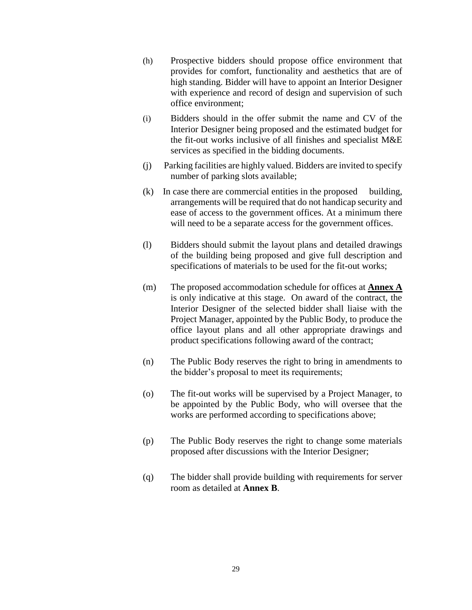- (h) Prospective bidders should propose office environment that provides for comfort, functionality and aesthetics that are of high standing. Bidder will have to appoint an Interior Designer with experience and record of design and supervision of such office environment;
- (i) Bidders should in the offer submit the name and CV of the Interior Designer being proposed and the estimated budget for the fit-out works inclusive of all finishes and specialist M&E services as specified in the bidding documents.
- (j) Parking facilities are highly valued. Bidders are invited to specify number of parking slots available;
- (k) In case there are commercial entities in the proposed building, arrangements will be required that do not handicap security and ease of access to the government offices. At a minimum there will need to be a separate access for the government offices.
- (l) Bidders should submit the layout plans and detailed drawings of the building being proposed and give full description and specifications of materials to be used for the fit-out works;
- (m) The proposed accommodation schedule for offices at **Annex A** is only indicative at this stage. On award of the contract, the Interior Designer of the selected bidder shall liaise with the Project Manager, appointed by the Public Body, to produce the office layout plans and all other appropriate drawings and product specifications following award of the contract;
- (n) The Public Body reserves the right to bring in amendments to the bidder's proposal to meet its requirements;
- (o) The fit-out works will be supervised by a Project Manager, to be appointed by the Public Body, who will oversee that the works are performed according to specifications above;
- (p) The Public Body reserves the right to change some materials proposed after discussions with the Interior Designer;
- (q) The bidder shall provide building with requirements for server room as detailed at **Annex B**.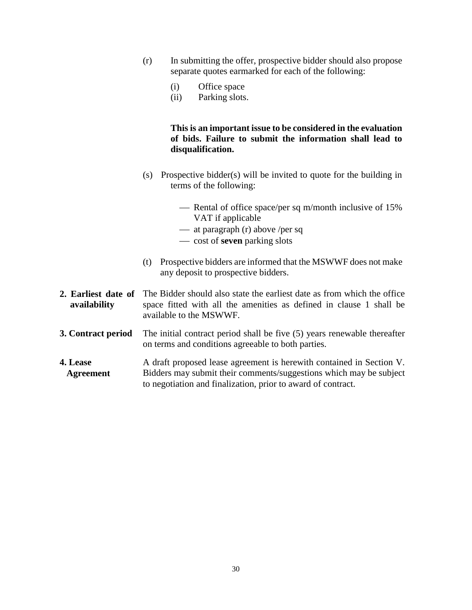- (r) In submitting the offer, prospective bidder should also propose separate quotes earmarked for each of the following:
	- (i) Office space
	- (ii) Parking slots.

## **This is an important issue to be considered in the evaluation of bids. Failure to submit the information shall lead to disqualification.**

- (s) Prospective bidder(s) will be invited to quote for the building in terms of the following:
	- Rental of office space/per sq m/month inclusive of 15% VAT if applicable
	- $-$  at paragraph (r) above /per sq
	- cost of **seven** parking slots
- (t) Prospective bidders are informed that the MSWWF does not make any deposit to prospective bidders.
- **2. Earliest date of availability** The Bidder should also state the earliest date as from which the office space fitted with all the amenities as defined in clause 1 shall be available to the MSWWF.
- **3. Contract period** The initial contract period shall be five (5) years renewable thereafter on terms and conditions agreeable to both parties.
- **4. Lease Agreement** A draft proposed lease agreement is herewith contained in Section V. Bidders may submit their comments/suggestions which may be subject to negotiation and finalization, prior to award of contract.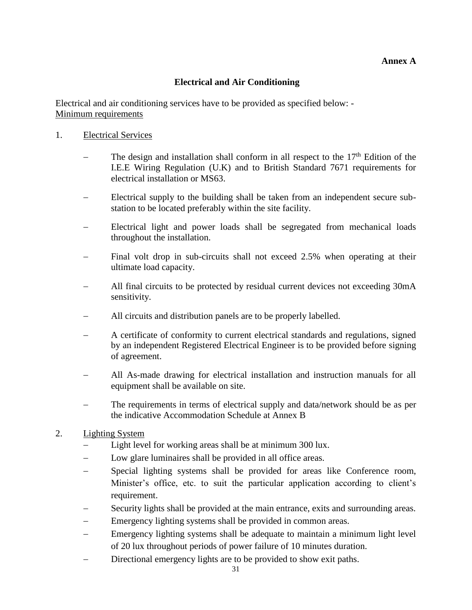## **Annex A**

## **Electrical and Air Conditioning**

Electrical and air conditioning services have to be provided as specified below: - Minimum requirements

### 1. Electrical Services

- The design and installation shall conform in all respect to the  $17<sup>th</sup>$  Edition of the I.E.E Wiring Regulation (U.K) and to British Standard 7671 requirements for electrical installation or MS63.
- Electrical supply to the building shall be taken from an independent secure substation to be located preferably within the site facility.
- Electrical light and power loads shall be segregated from mechanical loads throughout the installation.
- Final volt drop in sub-circuits shall not exceed 2.5% when operating at their ultimate load capacity.
- All final circuits to be protected by residual current devices not exceeding 30mA sensitivity.
- All circuits and distribution panels are to be properly labelled.
- A certificate of conformity to current electrical standards and regulations, signed by an independent Registered Electrical Engineer is to be provided before signing of agreement.
- All As-made drawing for electrical installation and instruction manuals for all equipment shall be available on site.
- The requirements in terms of electrical supply and data/network should be as per the indicative Accommodation Schedule at Annex B

### 2. Lighting System

- Light level for working areas shall be at minimum 300 lux.
- Low glare luminaires shall be provided in all office areas.
- Special lighting systems shall be provided for areas like Conference room, Minister's office, etc. to suit the particular application according to client's requirement.
- Security lights shall be provided at the main entrance, exits and surrounding areas.
- Emergency lighting systems shall be provided in common areas.
- Emergency lighting systems shall be adequate to maintain a minimum light level of 20 lux throughout periods of power failure of 10 minutes duration.
- Directional emergency lights are to be provided to show exit paths.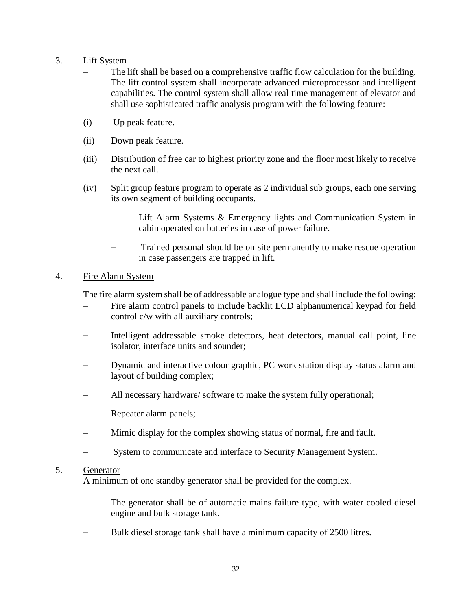## 3. Lift System

- The lift shall be based on a comprehensive traffic flow calculation for the building. The lift control system shall incorporate advanced microprocessor and intelligent capabilities. The control system shall allow real time management of elevator and shall use sophisticated traffic analysis program with the following feature:
- (i) Up peak feature.
- (ii) Down peak feature.
- (iii) Distribution of free car to highest priority zone and the floor most likely to receive the next call.
- (iv) Split group feature program to operate as 2 individual sub groups, each one serving its own segment of building occupants.
	- Lift Alarm Systems & Emergency lights and Communication System in cabin operated on batteries in case of power failure.
	- Trained personal should be on site permanently to make rescue operation in case passengers are trapped in lift.

## 4. Fire Alarm System

The fire alarm system shall be of addressable analogue type and shall include the following:

- Fire alarm control panels to include backlit LCD alphanumerical keypad for field control c/w with all auxiliary controls;
- Intelligent addressable smoke detectors, heat detectors, manual call point, line isolator, interface units and sounder;
- Dynamic and interactive colour graphic, PC work station display status alarm and layout of building complex;
- All necessary hardware/ software to make the system fully operational;
- Repeater alarm panels;
- Mimic display for the complex showing status of normal, fire and fault.
- System to communicate and interface to Security Management System.

### 5. Generator

A minimum of one standby generator shall be provided for the complex.

- The generator shall be of automatic mains failure type, with water cooled diesel engine and bulk storage tank.
- Bulk diesel storage tank shall have a minimum capacity of 2500 litres.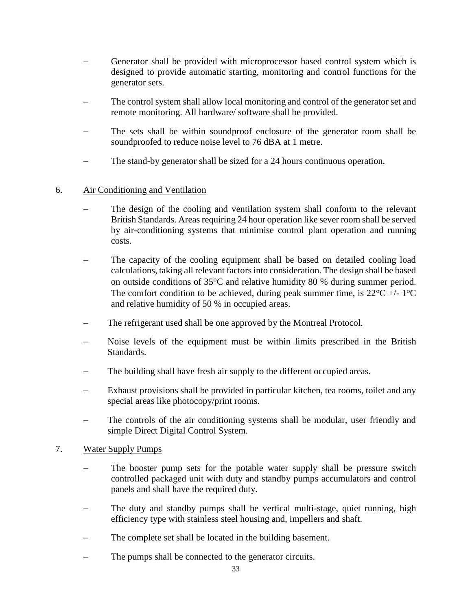- Generator shall be provided with microprocessor based control system which is designed to provide automatic starting, monitoring and control functions for the generator sets.
- The control system shall allow local monitoring and control of the generator set and remote monitoring. All hardware/ software shall be provided.
- The sets shall be within soundproof enclosure of the generator room shall be soundproofed to reduce noise level to 76 dBA at 1 metre.
- The stand-by generator shall be sized for a 24 hours continuous operation.

## 6. Air Conditioning and Ventilation

- The design of the cooling and ventilation system shall conform to the relevant British Standards. Areas requiring 24 hour operation like sever room shall be served by air-conditioning systems that minimise control plant operation and running costs.
- The capacity of the cooling equipment shall be based on detailed cooling load calculations, taking all relevant factors into consideration. The design shall be based on outside conditions of  $35^{\circ}$ C and relative humidity 80 % during summer period. The comfort condition to be achieved, during peak summer time, is  $22^{\circ}C$  +/-  $1^{\circ}C$ and relative humidity of 50 % in occupied areas.
- The refrigerant used shall be one approved by the Montreal Protocol.
- Noise levels of the equipment must be within limits prescribed in the British Standards.
- The building shall have fresh air supply to the different occupied areas.
- Exhaust provisions shall be provided in particular kitchen, tea rooms, toilet and any special areas like photocopy/print rooms.
- The controls of the air conditioning systems shall be modular, user friendly and simple Direct Digital Control System.

## 7. Water Supply Pumps

- The booster pump sets for the potable water supply shall be pressure switch controlled packaged unit with duty and standby pumps accumulators and control panels and shall have the required duty.
- The duty and standby pumps shall be vertical multi-stage, quiet running, high efficiency type with stainless steel housing and, impellers and shaft.
- The complete set shall be located in the building basement.
- The pumps shall be connected to the generator circuits.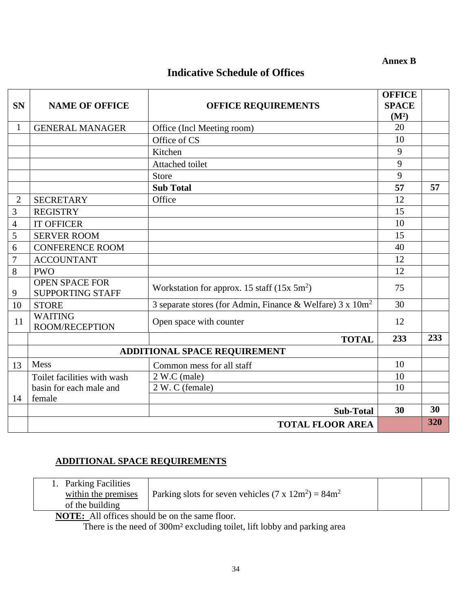**Annex B**

## **Indicative Schedule of Offices**

|                  |                                                  |                                                                       | <b>OFFICE</b>     |     |
|------------------|--------------------------------------------------|-----------------------------------------------------------------------|-------------------|-----|
| <b>SN</b>        | <b>NAME OF OFFICE</b>                            | <b>OFFICE REQUIREMENTS</b>                                            | <b>SPACE</b>      |     |
|                  |                                                  |                                                                       | (M <sup>2</sup> ) |     |
| $\mathbf{1}$     | <b>GENERAL MANAGER</b>                           | Office (Incl Meeting room)                                            | 20                |     |
|                  |                                                  | Office of CS                                                          | 10                |     |
|                  |                                                  | Kitchen                                                               | 9                 |     |
|                  |                                                  | Attached toilet                                                       | 9                 |     |
|                  |                                                  | Store                                                                 | 9                 |     |
|                  |                                                  | <b>Sub Total</b>                                                      | 57                | 57  |
| $\overline{2}$   | <b>SECRETARY</b>                                 | Office                                                                | 12                |     |
| 3                | <b>REGISTRY</b>                                  |                                                                       | 15                |     |
| $\overline{4}$   | <b>IT OFFICER</b>                                |                                                                       | 10                |     |
| 5                | <b>SERVER ROOM</b>                               |                                                                       | 15                |     |
| 6                | <b>CONFERENCE ROOM</b>                           |                                                                       | 40                |     |
| $\boldsymbol{7}$ | <b>ACCOUNTANT</b>                                |                                                                       | 12                |     |
| 8                | <b>PWO</b>                                       |                                                                       | 12                |     |
| 9                | <b>OPEN SPACE FOR</b><br><b>SUPPORTING STAFF</b> | Workstation for approx. 15 staff $(15x 5m^2)$                         | 75                |     |
| 10               | <b>STORE</b>                                     | 3 separate stores (for Admin, Finance & Welfare) 3 x 10m <sup>2</sup> | 30                |     |
| 11               | <b>WAITING</b><br><b>ROOM/RECEPTION</b>          | Open space with counter                                               | 12                |     |
|                  |                                                  | <b>TOTAL</b>                                                          | 233               | 233 |
|                  | <b>ADDITIONAL SPACE REQUIREMENT</b>              |                                                                       |                   |     |
| 13               | Mess                                             | Common mess for all staff                                             | 10                |     |
|                  | Toilet facilities with wash                      | 2 W.C (male)                                                          | 10                |     |
|                  | basin for each male and                          | 2 W. C (female)                                                       | 10                |     |
| 14               | female                                           |                                                                       |                   |     |
|                  |                                                  | <b>Sub-Total</b>                                                      | 30                | 30  |
|                  |                                                  | <b>TOTAL FLOOR AREA</b>                                               |                   | 320 |

## **ADDITIONAL SPACE REQUIREMENTS**

| <b>Parking Facilities</b>                     |                                                             |  |
|-----------------------------------------------|-------------------------------------------------------------|--|
| within the premises                           | Parking slots for seven vehicles $(7 \times 12m^2) = 84m^2$ |  |
| of the building                               |                                                             |  |
| <b>NIOTHER</b> All $CC = 1 - 111$ and $T = 0$ |                                                             |  |

**NOTE:** All offices should be on the same floor.

There is the need of 300m² excluding toilet, lift lobby and parking area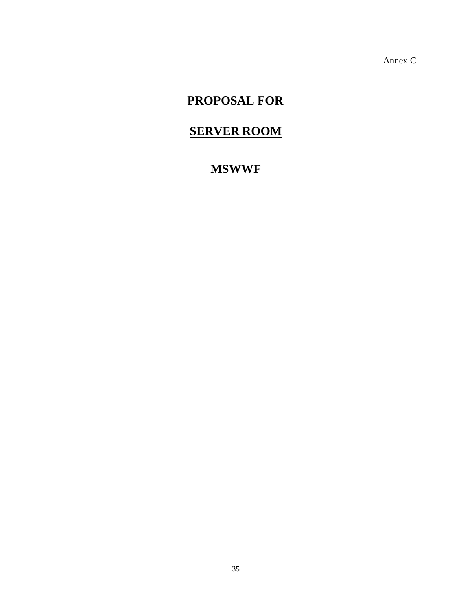Annex C

## **PROPOSAL FOR**

## **SERVER ROOM**

## **MSWWF**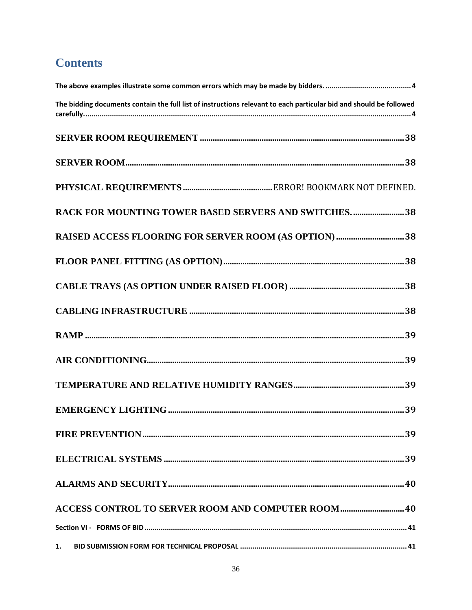## **Contents**

| The bidding documents contain the full list of instructions relevant to each particular bid and should be followed |
|--------------------------------------------------------------------------------------------------------------------|
|                                                                                                                    |
|                                                                                                                    |
|                                                                                                                    |
| RACK FOR MOUNTING TOWER BASED SERVERS AND SWITCHES38                                                               |
|                                                                                                                    |
|                                                                                                                    |
|                                                                                                                    |
|                                                                                                                    |
|                                                                                                                    |
|                                                                                                                    |
|                                                                                                                    |
|                                                                                                                    |
|                                                                                                                    |
|                                                                                                                    |
|                                                                                                                    |
| <b>ACCESS CONTROL TO SERVER ROOM AND COMPUTER ROOM  40</b>                                                         |
|                                                                                                                    |
| 1.                                                                                                                 |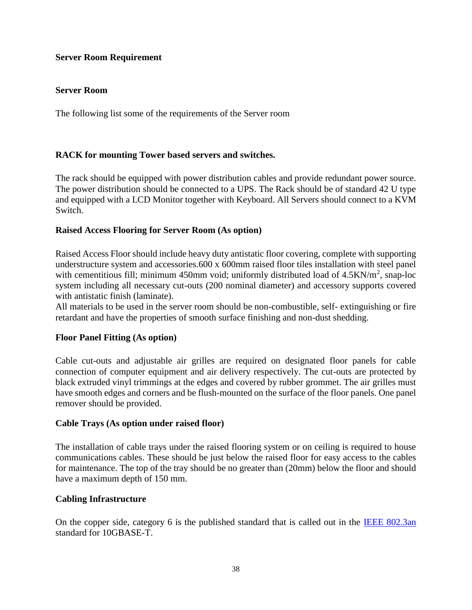## <span id="page-37-0"></span>**Server Room Requirement**

## <span id="page-37-1"></span>**Server Room**

The following list some of the requirements of the Server room

## <span id="page-37-2"></span>**RACK for mounting Tower based servers and switches.**

The rack should be equipped with power distribution cables and provide redundant power source. The power distribution should be connected to a UPS. The Rack should be of standard 42 U type and equipped with a LCD Monitor together with Keyboard. All Servers should connect to a KVM Switch.

### <span id="page-37-3"></span>**Raised Access Flooring for Server Room (As option)**

Raised Access Floor should include heavy duty antistatic floor covering, complete with supporting understructure system and accessories.600 x 600mm raised floor tiles installation with steel panel with cementitious fill; minimum 450mm void; uniformly distributed load of  $4.5 \text{KN/m}^2$ , snap-loc system including all necessary cut-outs (200 nominal diameter) and accessory supports covered with antistatic finish (laminate).

All materials to be used in the server room should be non-combustible, self- extinguishing or fire retardant and have the properties of smooth surface finishing and non-dust shedding.

### <span id="page-37-4"></span>**Floor Panel Fitting (As option)**

Cable cut-outs and adjustable air grilles are required on designated floor panels for cable connection of computer equipment and air delivery respectively. The cut-outs are protected by black extruded vinyl trimmings at the edges and covered by rubber grommet. The air grilles must have smooth edges and corners and be flush-mounted on the surface of the floor panels. One panel remover should be provided.

### <span id="page-37-5"></span>**Cable Trays (As option under raised floor)**

The installation of cable trays under the raised flooring system or on ceiling is required to house communications cables. These should be just below the raised floor for easy access to the cables for maintenance. The top of the tray should be no greater than (20mm) below the floor and should have a maximum depth of 150 mm.

### <span id="page-37-6"></span>**Cabling Infrastructure**

On the copper side, category 6 is the published standard that is called out in the [IEEE 802.3an](http://www.ieee802.org/3/an/index.html) standard for 10GBASE-T.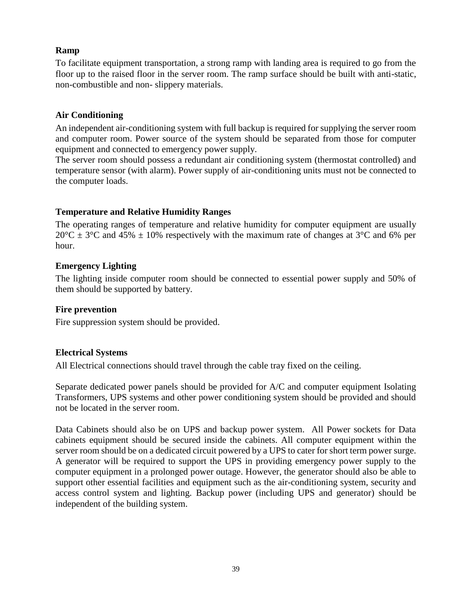## <span id="page-38-0"></span>**Ramp**

To facilitate equipment transportation, a strong ramp with landing area is required to go from the floor up to the raised floor in the server room. The ramp surface should be built with anti-static, non-combustible and non- slippery materials.

## <span id="page-38-1"></span>**Air Conditioning**

An independent air-conditioning system with full backup is required for supplying the server room and computer room. Power source of the system should be separated from those for computer equipment and connected to emergency power supply.

The server room should possess a redundant air conditioning system (thermostat controlled) and temperature sensor (with alarm). Power supply of air-conditioning units must not be connected to the computer loads.

## <span id="page-38-2"></span>**Temperature and Relative Humidity Ranges**

The operating ranges of temperature and relative humidity for computer equipment are usually  $20^{\circ}$ C  $\pm$  3<sup>o</sup>C and 45%  $\pm$  10% respectively with the maximum rate of changes at 3<sup>o</sup>C and 6% per hour.

## <span id="page-38-3"></span>**Emergency Lighting**

The lighting inside computer room should be connected to essential power supply and 50% of them should be supported by battery.

## <span id="page-38-4"></span>**Fire prevention**

Fire suppression system should be provided.

## <span id="page-38-5"></span>**Electrical Systems**

All Electrical connections should travel through the cable tray fixed on the ceiling.

Separate dedicated power panels should be provided for A/C and computer equipment Isolating Transformers, UPS systems and other power conditioning system should be provided and should not be located in the server room.

Data Cabinets should also be on UPS and backup power system. All Power sockets for Data cabinets equipment should be secured inside the cabinets. All computer equipment within the server room should be on a dedicated circuit powered by a UPS to cater for short term power surge. A generator will be required to support the UPS in providing emergency power supply to the computer equipment in a prolonged power outage. However, the generator should also be able to support other essential facilities and equipment such as the air-conditioning system, security and access control system and lighting. Backup power (including UPS and generator) should be independent of the building system.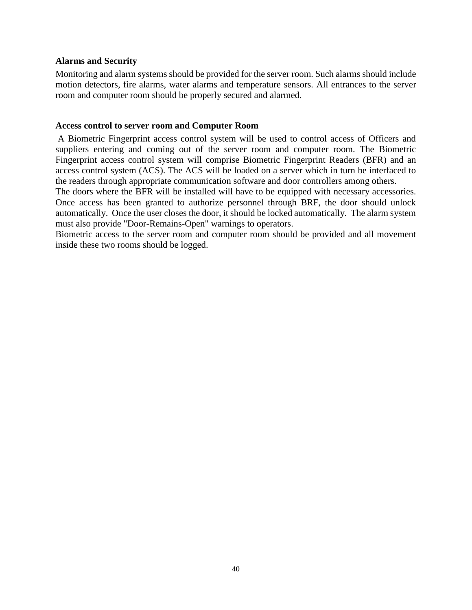#### <span id="page-39-0"></span>**Alarms and Security**

Monitoring and alarm systems should be provided for the server room. Such alarms should include motion detectors, fire alarms, water alarms and temperature sensors. All entrances to the server room and computer room should be properly secured and alarmed.

#### <span id="page-39-1"></span>**Access control to server room and Computer Room**

A Biometric Fingerprint access control system will be used to control access of Officers and suppliers entering and coming out of the server room and computer room. The Biometric Fingerprint access control system will comprise Biometric Fingerprint Readers (BFR) and an access control system (ACS). The ACS will be loaded on a server which in turn be interfaced to the readers through appropriate communication software and door controllers among others.

The doors where the BFR will be installed will have to be equipped with necessary accessories. Once access has been granted to authorize personnel through BRF, the door should unlock automatically. Once the user closes the door, it should be locked automatically. The alarm system must also provide "Door-Remains-Open" warnings to operators.

Biometric access to the server room and computer room should be provided and all movement inside these two rooms should be logged.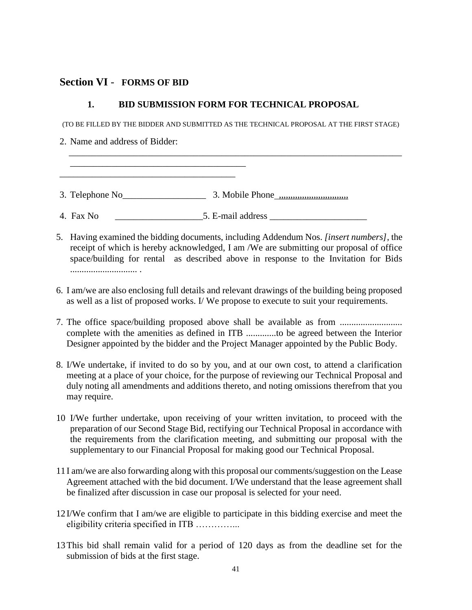## <span id="page-40-0"></span>**Section VI** - **FORMS OF BID**

### **1. BID SUBMISSION FORM FOR TECHNICAL PROPOSAL**

<span id="page-40-1"></span>(TO BE FILLED BY THE BIDDER AND SUBMITTED AS THE TECHNICAL PROPOSAL AT THE FIRST STAGE)

 $\overline{\phantom{a}}$  , and the contract of the contract of the contract of the contract of the contract of the contract of the contract of the contract of the contract of the contract of the contract of the contract of the contrac

2. Name and address of Bidder:

\_\_\_\_\_\_\_\_\_\_\_\_\_\_\_\_\_\_\_\_\_\_\_\_\_\_\_\_\_\_\_\_\_\_\_\_\_\_  $\mathcal{L}_\text{max}$  , and the set of the set of the set of the set of the set of the set of the set of the set of the set of the set of the set of the set of the set of the set of the set of the set of the set of the set of the

3. Telephone  $No_$  3. Mobile Phone  $_{\ldots}$ ,  $_{\ldots}$ ,  $_{\ldots}$ ,  $_{\ldots}$ ,  $_{\ldots}$ ,  $_{\ldots}$ ,  $_{\ldots}$ ,  $_{\ldots}$ ,  $_{\ldots}$ ,  $_{\ldots}$ ,  $_{\ldots}$ ,  $_{\ldots}$ ,  $_{\ldots}$ ,  $_{\ldots}$ ,  $_{\ldots}$ ,  $_{\ldots}$ ,  $_{\ldots}$ ,  $_{\ldots}$ ,  $_{\ldots}$ ,  $_{\ldots}$ ,  $_{\ldots}$ 

4. Fax No \_\_\_\_\_\_\_\_\_\_\_\_\_\_\_\_\_\_\_5. E-mail address \_\_\_\_\_\_\_\_\_\_\_\_\_\_\_\_\_\_\_\_\_

- 5. Having examined the bidding documents, including Addendum Nos. *[insert numbers]*, the receipt of which is hereby acknowledged, I am /We are submitting our proposal of office space/building for rental as described above in response to the Invitation for Bids ............................. .
- 6. I am/we are also enclosing full details and relevant drawings of the building being proposed as well as a list of proposed works. I/ We propose to execute to suit your requirements.
- 7. The office space/building proposed above shall be available as from ........................... complete with the amenities as defined in ITB .............to be agreed between the Interior Designer appointed by the bidder and the Project Manager appointed by the Public Body.
- 8. I/We undertake, if invited to do so by you, and at our own cost, to attend a clarification meeting at a place of your choice, for the purpose of reviewing our Technical Proposal and duly noting all amendments and additions thereto, and noting omissions therefrom that you may require.
- 10 I/We further undertake, upon receiving of your written invitation, to proceed with the preparation of our Second Stage Bid, rectifying our Technical Proposal in accordance with the requirements from the clarification meeting, and submitting our proposal with the supplementary to our Financial Proposal for making good our Technical Proposal.
- 11 I am/we are also forwarding along with this proposal our comments/suggestion on the Lease Agreement attached with the bid document. I/We understand that the lease agreement shall be finalized after discussion in case our proposal is selected for your need.
- 12 I/We confirm that I am/we are eligible to participate in this bidding exercise and meet the eligibility criteria specified in ITB …………...
- 13This bid shall remain valid for a period of 120 days as from the deadline set for the submission of bids at the first stage.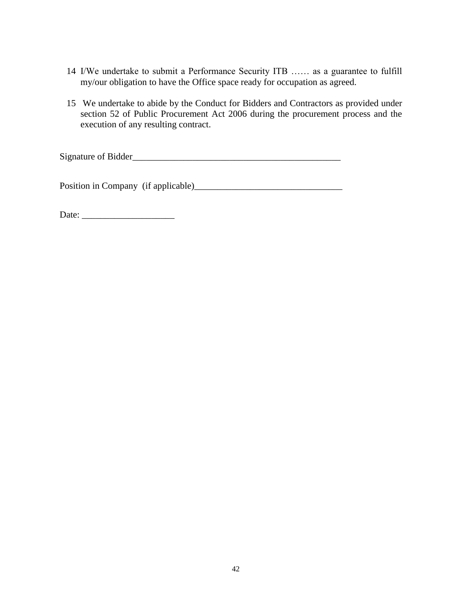- 14 I/We undertake to submit a Performance Security ITB …… as a guarantee to fulfill my/our obligation to have the Office space ready for occupation as agreed.
- 15 We undertake to abide by the Conduct for Bidders and Contractors as provided under section 52 of Public Procurement Act 2006 during the procurement process and the execution of any resulting contract.

Signature of Bidder\_\_\_\_\_\_\_\_\_\_\_\_\_\_\_\_\_\_\_\_\_\_\_\_\_\_\_\_\_\_\_\_\_\_\_\_\_\_\_\_\_\_\_\_\_

Position in Company (if applicable)\_\_\_\_\_\_\_\_\_\_\_\_\_\_\_\_\_\_\_\_\_\_\_\_\_\_\_\_\_\_\_\_

Date: \_\_\_\_\_\_\_\_\_\_\_\_\_\_\_\_\_\_\_\_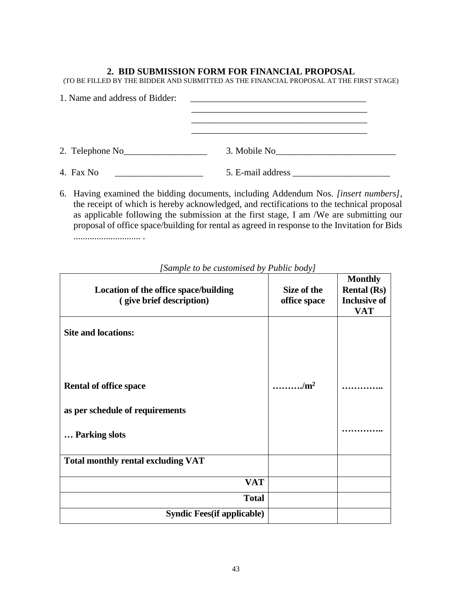#### **2. BID SUBMISSION FORM FOR FINANCIAL PROPOSAL**

<span id="page-42-0"></span>(TO BE FILLED BY THE BIDDER AND SUBMITTED AS THE FINANCIAL PROPOSAL AT THE FIRST STAGE)

| 1. Name and address of Bidder: | <u> 1980 - Jan James James Barnett, fransk politik (d. 1980)</u> |
|--------------------------------|------------------------------------------------------------------|
|                                |                                                                  |
| 2. Telephone $No$              | 3. Mobile No                                                     |
| 4. Fax No                      | 5. E-mail address                                                |

6. Having examined the bidding documents, including Addendum Nos. *[insert numbers]*, the receipt of which is hereby acknowledged, and rectifications to the technical proposal as applicable following the submission at the first stage, I am /We are submitting our proposal of office space/building for rental as agreed in response to the Invitation for Bids ............................. .

| Location of the office space/building<br>(give brief description) | Size of the<br>office space | <b>Monthly</b><br><b>Rental</b> (Rs)<br><b>Inclusive of</b><br><b>VAT</b> |
|-------------------------------------------------------------------|-----------------------------|---------------------------------------------------------------------------|
| <b>Site and locations:</b>                                        |                             |                                                                           |
| <b>Rental of office space</b>                                     | /m <sup>2</sup>             |                                                                           |
| as per schedule of requirements                                   |                             |                                                                           |
| Parking slots                                                     |                             |                                                                           |
| <b>Total monthly rental excluding VAT</b>                         |                             |                                                                           |
| <b>VAT</b>                                                        |                             |                                                                           |
| <b>Total</b>                                                      |                             |                                                                           |
| <b>Syndic Fees</b> (if applicable)                                |                             |                                                                           |

## *[Sample to be customised by Public body]*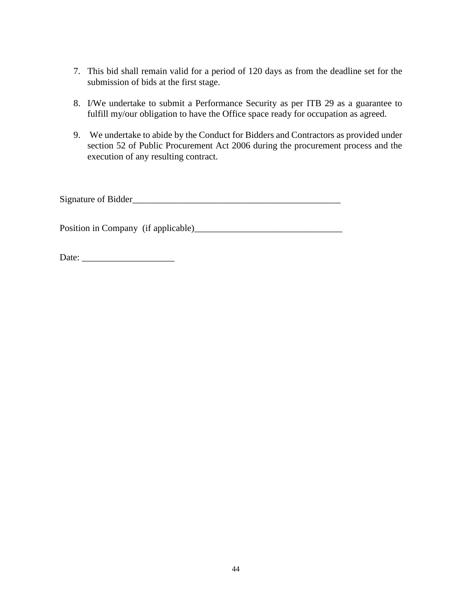- 7. This bid shall remain valid for a period of 120 days as from the deadline set for the submission of bids at the first stage.
- 8. I/We undertake to submit a Performance Security as per ITB 29 as a guarantee to fulfill my/our obligation to have the Office space ready for occupation as agreed.
- 9. We undertake to abide by the Conduct for Bidders and Contractors as provided under section 52 of Public Procurement Act 2006 during the procurement process and the execution of any resulting contract.

Signature of Bidder\_\_\_\_\_\_\_\_\_\_\_\_\_\_\_\_\_\_\_\_\_\_\_\_\_\_\_\_\_\_\_\_\_\_\_\_\_\_\_\_\_\_\_\_\_

Position in Company (if applicable)\_\_\_\_\_\_\_\_\_\_\_\_\_\_\_\_\_\_\_\_\_\_\_\_\_\_\_\_\_\_\_\_

Date: